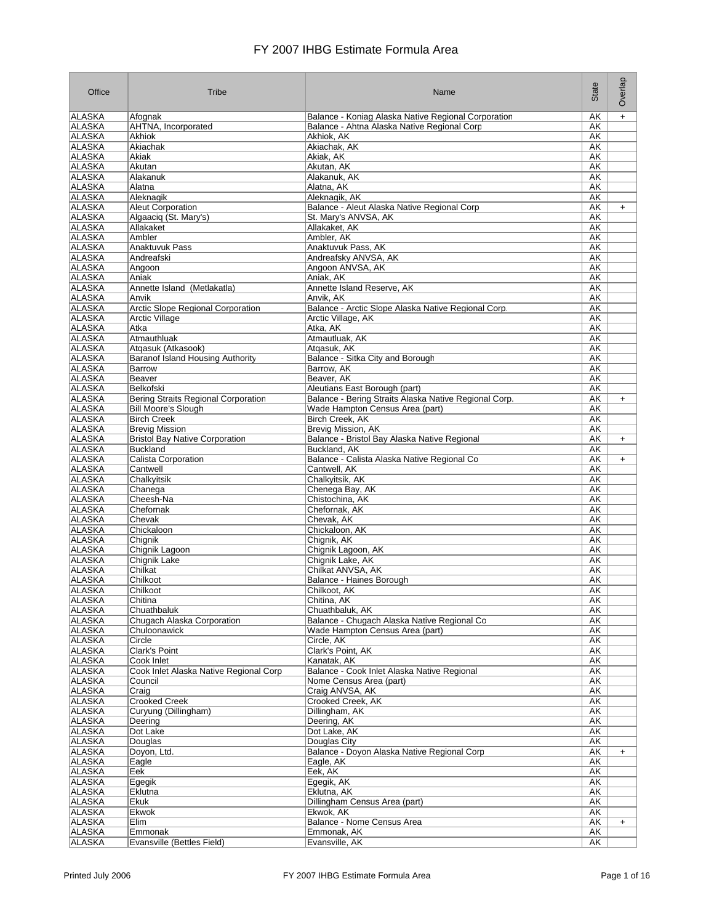| Office                         | Tribe                                       | Name                                                                           | State           | Overlap   |
|--------------------------------|---------------------------------------------|--------------------------------------------------------------------------------|-----------------|-----------|
| ALASKA                         | Afognak                                     | Balance - Koniag Alaska Native Regional Corporation                            | AΚ              | $+$       |
| <b>ALASKA</b>                  | AHTNA, Incorporated                         | Balance - Ahtna Alaska Native Regional Corp                                    | AΚ              |           |
| <b>ALASKA</b><br><b>ALASKA</b> | Akhiok<br>Akiachak                          | Akhiok, AK<br>Akiachak, AK                                                     | AΚ<br><b>AK</b> |           |
| ALASKA                         | Akiak                                       | Akiak, AK                                                                      | AΚ              |           |
| ALASKA                         | Akutan                                      | Akutan, AK                                                                     | AK              |           |
| <b>ALASKA</b>                  | Alakanuk                                    | Alakanuk, AK                                                                   | AΚ              |           |
| <b>ALASKA</b>                  | Alatna                                      | Alatna, AK                                                                     | AΚ              |           |
| <b>ALASKA</b><br>ALASKA        | Aleknagik<br>Aleut Corporation              | Aleknagik, AK<br>Balance - Aleut Alaska Native Regional Corp                   | AΚ<br>AK        |           |
| <b>ALASKA</b>                  | Algaaciq (St. Mary's)                       | St. Mary's ANVSA, AK                                                           | AΚ              | $+$       |
| ALASKA                         | Allakaket                                   | Allakaket, AK                                                                  | AΚ              |           |
| ALASKA                         | Ambler                                      | Ambler, AK                                                                     | AΚ              |           |
| ALASKA                         | Anaktuvuk Pass                              | Anaktuvuk Pass, AK                                                             | AΚ              |           |
| ALASKA                         | Andreafski                                  | Andreafsky ANVSA, AK                                                           | AK              |           |
| <b>ALASKA</b><br>ALASKA        | Angoon<br>Aniak                             | Angoon ANVSA, AK<br>Aniak, AK                                                  | AΚ<br>AK        |           |
| <b>ALASKA</b>                  | Annette Island (Metlakatla)                 | Annette Island Reserve, AK                                                     | AΚ              |           |
| ALASKA                         | Anvik                                       | Anvik, AK                                                                      | AΚ              |           |
| ALASKA                         | Arctic Slope Regional Corporation           | Balance - Arctic Slope Alaska Native Regional Corp.                            | AΚ              |           |
| <b>ALASKA</b>                  | <b>Arctic Village</b>                       | Arctic Village, AK                                                             | <b>AK</b>       |           |
| <b>ALASKA</b>                  | Atka                                        | Atka, AK                                                                       | AΚ              |           |
| ALASKA<br><b>ALASKA</b>        | Atmauthluak<br>Atqasuk (Atkasook)           | Atmautluak, AK<br>Atgasuk, AK                                                  | AΚ<br>AΚ        |           |
| <b>ALASKA</b>                  | <b>Baranof Island Housing Authority</b>     | Balance - Sitka City and Borough                                               | AΚ              |           |
| <b>ALASKA</b>                  | Barrow                                      | Barrow, AK                                                                     | AΚ              |           |
| <b>ALASKA</b>                  | Beaver                                      | Beaver, AK                                                                     | AΚ              |           |
| <b>ALASKA</b>                  | Belkofski                                   | Aleutians East Borough (part)                                                  | AK              |           |
| <b>ALASKA</b>                  | Bering Straits Regional Corporation         | Balance - Bering Straits Alaska Native Regional Corp.                          | <b>AK</b>       | $\ddot{}$ |
| ALASKA                         | <b>Bill Moore's Slough</b>                  | Wade Hampton Census Area (part)                                                | AΚ              |           |
| ALASKA<br><b>ALASKA</b>        | <b>Birch Creek</b><br><b>Brevig Mission</b> | Birch Creek, AK<br>Brevig Mission, AK                                          | AΚ<br>AΚ        |           |
| <b>ALASKA</b>                  | <b>Bristol Bay Native Corporation</b>       | Balance - Bristol Bay Alaska Native Regional                                   | AΚ              | $\ddot{}$ |
| <b>ALASKA</b>                  | Buckland                                    | Buckland, AK                                                                   | AΚ              |           |
| <b>ALASKA</b>                  | Calista Corporation                         | Balance - Calista Alaska Native Regional Co                                    | AΚ              | $+$       |
| ALASKA                         | Cantwell                                    | Cantwell, AK                                                                   | AΚ              |           |
| ALASKA                         | Chalkyitsik                                 | Chalkyitsik, AK                                                                | AΚ              |           |
| ALASKA<br>ALASKA               | Chanega<br>Cheesh-Na                        | Chenega Bay, AK<br>Chistochina, AK                                             | AΚ<br>AΚ        |           |
| ALASKA                         | Chefornak                                   | Chefornak, AK                                                                  | AK              |           |
| <b>ALASKA</b>                  | Chevak                                      | Chevak, AK                                                                     | AΚ              |           |
| ALASKA                         | Chickaloon                                  | Chickaloon, AK                                                                 | AK              |           |
| <b>ALASKA</b>                  | Chignik                                     | Chignik, AK                                                                    | AΚ              |           |
| ALASKA<br>ALASKA               | Chignik Lagoon<br>Chignik Lake              | Chignik Lagoon, AK<br>Chignik Lake, AK                                         | AΚ<br>AΚ        |           |
| <b>ALASKA</b>                  | Chilkat                                     | Chilkat ANVSA, AK                                                              | AΚ              |           |
| <b>ALASKA</b>                  | Chilkoot                                    | <b>Balance - Haines Borough</b>                                                | AΚ              |           |
| ALASKA                         | Chilkoot                                    | Chilkoot, AK                                                                   | AΚ              |           |
| ALASKA                         | Chitina                                     | Chitina, AK                                                                    | AΚ              |           |
| <b>ALASKA</b>                  | Chuathbaluk                                 | Chuathbaluk, AK                                                                | AΚ              |           |
| <b>ALASKA</b><br><b>ALASKA</b> | Chugach Alaska Corporation<br>Chuloonawick  | Balance - Chugach Alaska Native Regional Co<br>Wade Hampton Census Area (part) | AK<br><b>AK</b> |           |
| <b>ALASKA</b>                  | Circle                                      | Circle, AK                                                                     | AK              |           |
| <b>ALASKA</b>                  | <b>Clark's Point</b>                        | Clark's Point, AK                                                              | <b>AK</b>       |           |
| <b>ALASKA</b>                  | Cook Inlet                                  | Kanatak, AK                                                                    | AK              |           |
| ALASKA                         | Cook Inlet Alaska Native Regional Corp      | Balance - Cook Inlet Alaska Native Regional                                    | AK              |           |
| <b>ALASKA</b>                  | Council                                     | Nome Census Area (part)                                                        | AK              |           |
| ALASKA<br>ALASKA               | Craig<br><b>Crooked Creek</b>               | Craig ANVSA, AK<br>Crooked Creek, AK                                           | AK<br>AK        |           |
| ALASKA                         | Curyung (Dillingham)                        | Dillingham, AK                                                                 | AK              |           |
| ALASKA                         | Deering                                     | Deering, AK                                                                    | AK              |           |
| ALASKA                         | Dot Lake                                    | Dot Lake, AK                                                                   | AK              |           |
| ALASKA                         | Douglas                                     | Douglas City                                                                   | AK              |           |
| ALASKA                         | Doyon, Ltd.                                 | Balance - Doyon Alaska Native Regional Corp                                    | AΚ              | $+$       |
| ALASKA<br>ALASKA               | Eagle<br>Eek                                | Eagle, AK<br>Eek, AK                                                           | AK<br>AK        |           |
| ALASKA                         | Egegik                                      | Egegik, AK                                                                     | AΚ              |           |
| ALASKA                         | Eklutna                                     | Eklutna, AK                                                                    | AΚ              |           |
| ALASKA                         | Ekuk                                        | Dillingham Census Area (part)                                                  | AK              |           |
| ALASKA                         | Ekwok                                       | Ekwok, AK                                                                      | AK              |           |
| <b>ALASKA</b><br><b>ALASKA</b> | Elim                                        | Balance - Nome Census Area                                                     | AK              | $+$       |
| ALASKA                         | Emmonak<br>Evansville (Bettles Field)       | Emmonak, AK<br>Evansville, AK                                                  | AΚ<br>AK        |           |
|                                |                                             |                                                                                |                 |           |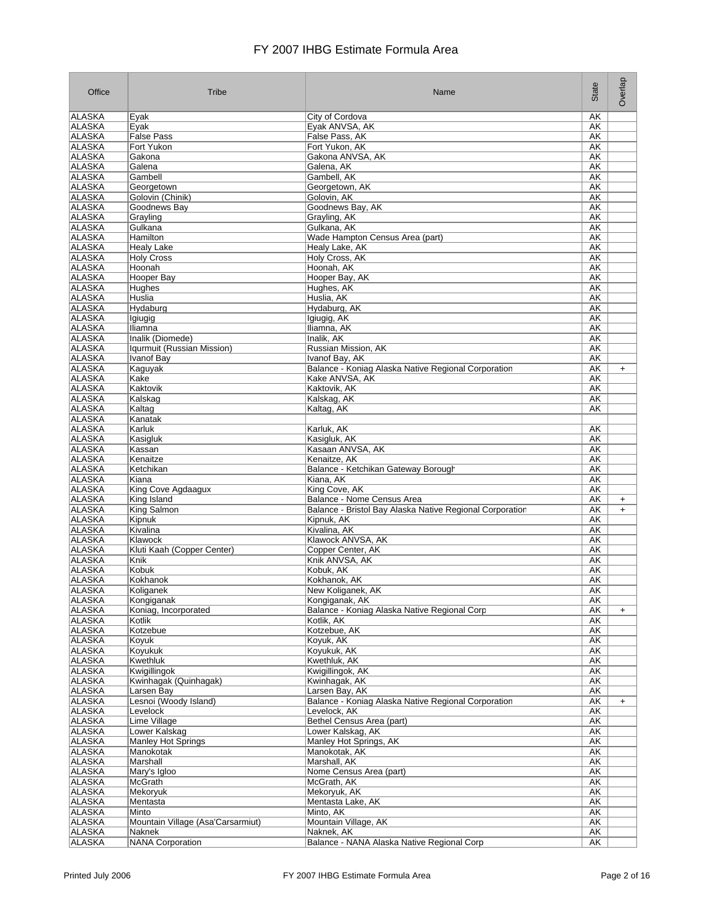| Office                         | Tribe                             | Name                                                                                   | State           | Overlap                |
|--------------------------------|-----------------------------------|----------------------------------------------------------------------------------------|-----------------|------------------------|
| ALASKA                         | Eyak                              | City of Cordova                                                                        | AΚ              |                        |
| ALASKA                         | Eyak                              | Eyak ANVSA, AK                                                                         | AK              |                        |
| ALASKA                         | <b>False Pass</b>                 | False Pass, AK                                                                         | AΚ              |                        |
| ALASKA<br><b>ALASKA</b>        | Fort Yukon<br>Gakona              | Fort Yukon, AK<br>Gakona ANVSA, AK                                                     | AK<br>AK        |                        |
| ALASKA                         | Galena                            | Galena, AK                                                                             | AK              |                        |
| <b>ALASKA</b>                  | Gambell                           | Gambell, AK                                                                            | AK              |                        |
| ALASKA                         | Georgetown                        | Georgetown, AK                                                                         | AΚ              |                        |
| <b>ALASKA</b>                  | Golovin (Chinik)                  | Golovin, AK                                                                            | AΚ              |                        |
| <b>ALASKA</b>                  | Goodnews Bay                      | Goodnews Bay, AK                                                                       | AΚ              |                        |
| <b>ALASKA</b><br>ALASKA        | Grayling<br>Gulkana               | Grayling, AK<br>Gulkana, AK                                                            | AK<br>AK        |                        |
| <b>ALASKA</b>                  | Hamilton                          | Wade Hampton Census Area (part)                                                        | AK              |                        |
| <b>ALASKA</b>                  | Healy Lake                        | Healy Lake, AK                                                                         | AΚ              |                        |
| ALASKA                         | <b>Holy Cross</b>                 | Holy Cross, AK                                                                         | AK              |                        |
| <b>ALASKA</b>                  | Hoonah                            | Hoonah, AK                                                                             | AΚ              |                        |
| <b>ALASKA</b>                  | <b>Hooper Bay</b>                 | Hooper Bay, AK                                                                         | AΚ              |                        |
| <b>ALASKA</b><br><b>ALASKA</b> | Hughes<br>Huslia                  | Hughes, AK<br>Huslia, AK                                                               | AΚ<br>AΚ        |                        |
| ALASKA                         | Hydaburg                          | Hydaburg, AK                                                                           | AK              |                        |
| <b>ALASKA</b>                  | lgiugig                           | Igiugig, AK                                                                            | <b>AK</b>       |                        |
| ALASKA                         | <b>Iliamna</b>                    | Iliamna, AK                                                                            | AΚ              |                        |
| <b>ALASKA</b>                  | Inalik (Diomede)                  | Inalik. AK                                                                             | AΚ              |                        |
| ALASKA                         | Igurmuit (Russian Mission)        | Russian Mission, AK                                                                    | AK              |                        |
| <b>ALASKA</b><br><b>ALASKA</b> | <b>Ivanof Bay</b><br>Kaguyak      | Ivanof Bay, AK<br>Balance - Koniag Alaska Native Regional Corporation                  | AK<br>AΚ        | $\ddot{}$              |
| <b>ALASKA</b>                  | Kake                              | Kake ANVSA, AK                                                                         | AK              |                        |
| <b>ALASKA</b>                  | Kaktovik                          | Kaktovik, AK                                                                           | AK              |                        |
| <b>ALASKA</b>                  | Kalskag                           | Kalskag, AK                                                                            | AΚ              |                        |
| <b>ALASKA</b>                  | Kaltag                            | Kaltag, AK                                                                             | AΚ              |                        |
| ALASKA                         | Kanatak                           |                                                                                        |                 |                        |
| <b>ALASKA</b>                  | Karluk                            | Karluk, AK                                                                             | AΚ              |                        |
| ALASKA<br><b>ALASKA</b>        | Kasigluk<br>Kassan                | Kasigluk, AK<br>Kasaan ANVSA, AK                                                       | AΚ<br>AΚ        |                        |
| <b>ALASKA</b>                  | Kenaitze                          | Kenaitze, AK                                                                           | AΚ              |                        |
| <b>ALASKA</b>                  | Ketchikan                         | Balance - Ketchikan Gateway Borough                                                    | AK              |                        |
| ALASKA                         | Kiana                             | Kiana, AK                                                                              | AK              |                        |
| <b>ALASKA</b>                  | King Cove Agdaagux                | King Cove, AK                                                                          | AK              |                        |
| <b>ALASKA</b><br>ALASKA        | King Island<br>King Salmon        | Balance - Nome Census Area<br>Balance - Bristol Bay Alaska Native Regional Corporation | AΚ<br>AΚ        | $\ddot{}$<br>$\ddot{}$ |
| <b>ALASKA</b>                  | Kipnuk                            | Kipnuk, AK                                                                             | AΚ              |                        |
| ALASKA                         | Kivalina                          | Kivalina, AK                                                                           | AΚ              |                        |
| <b>ALASKA</b>                  | Klawock                           | Klawock ANVSA, AK                                                                      | AΚ              |                        |
| <b>ALASKA</b>                  | Kluti Kaah (Copper Center)        | Copper Center, AK                                                                      | AΚ              |                        |
| ALASKA                         | Knik                              | Knik ANVSA, AK                                                                         | AK              |                        |
| <b>ALASKA</b><br><b>ALASKA</b> | Kobuk<br>Kokhanok                 | Kobuk, AK<br>Kokhanok, AK                                                              | AK<br>AK        |                        |
| ALASKA                         | Koliganek                         | New Koliganek, AK                                                                      | AΚ              |                        |
| ALASKA                         | Kongiganak                        | Kongiganak, AK                                                                         | AΚ              |                        |
| ALASKA                         | Koniag, Incorporated              | Balance - Koniag Alaska Native Regional Corp                                           | <b>AK</b>       | $+$                    |
| ALASKA                         | Kotlik                            | Kotlik, AK                                                                             | AΚ              |                        |
| <b>ALASKA</b>                  | Kotzebue                          | Kotzebue, AK                                                                           | AK              |                        |
| <b>ALASKA</b><br><b>ALASKA</b> | Koyuk<br>Koyukuk                  | Koyuk, AK<br>Koyukuk, AK                                                               | AK<br><b>AK</b> |                        |
| <b>ALASKA</b>                  | Kwethluk                          | Kwethluk, AK                                                                           | AK              |                        |
| <b>ALASKA</b>                  | Kwigillingok                      | Kwigillingok, AK                                                                       | AK              |                        |
| <b>ALASKA</b>                  | Kwinhagak (Quinhagak)             | Kwinhagak, AK                                                                          | AK              |                        |
| ALASKA                         | Larsen Bay                        | Larsen Bav. AK                                                                         | AK              |                        |
| ALASKA                         | Lesnoi (Woody Island)             | Balance - Koniag Alaska Native Regional Corporation                                    | AK              | $\ddot{}$              |
| ALASKA<br>ALASKA               | Levelock<br>Lime Village          | Levelock, AK<br>Bethel Census Area (part)                                              | AK<br>AK        |                        |
| ALASKA                         | Lower Kalskag                     | Lower Kalskag, AK                                                                      | AK              |                        |
| ALASKA                         | <b>Manley Hot Springs</b>         | Manley Hot Springs, AK                                                                 | AK              |                        |
| <b>ALASKA</b>                  | Manokotak                         | Manokotak, AK                                                                          | AΚ              |                        |
| ALASKA                         | Marshall                          | Marshall, AK                                                                           | AK              |                        |
| ALASKA<br>ALASKA               | Mary's Igloo<br>McGrath           | Nome Census Area (part)<br>McGrath, AK                                                 | AK              |                        |
| ALASKA                         | Mekoryuk                          | Mekoryuk, AK                                                                           | AK<br>AK        |                        |
| ALASKA                         | Mentasta                          | Mentasta Lake, AK                                                                      | AK              |                        |
| ALASKA                         | Minto                             | Minto, AK                                                                              | AK              |                        |
| <b>ALASKA</b>                  | Mountain Village (Asa'Carsarmiut) | Mountain Village, AK                                                                   | <b>AK</b>       |                        |
| <b>ALASKA</b>                  | Naknek                            | Naknek, AK                                                                             | <b>AK</b>       |                        |
| <b>ALASKA</b>                  | NANA Corporation                  | Balance - NANA Alaska Native Regional Corp                                             | <b>AK</b>       |                        |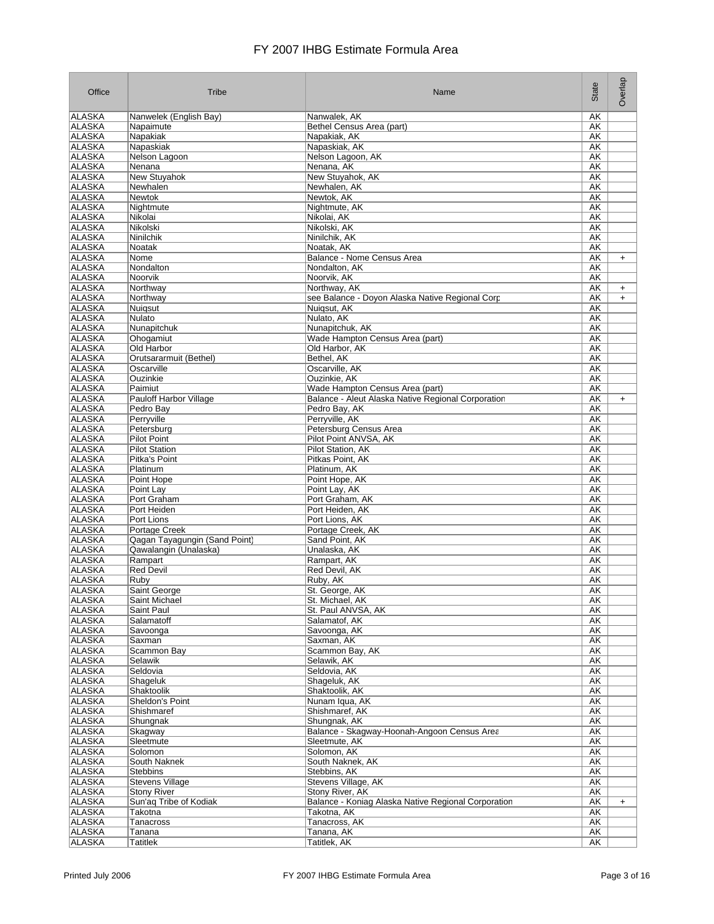| Office                         | Tribe                                          | Name                                                           | State           | Overlap   |
|--------------------------------|------------------------------------------------|----------------------------------------------------------------|-----------------|-----------|
| <b>ALASKA</b>                  | Nanwelek (English Bay)                         | Nanwalek, AK                                                   | AΚ              |           |
| <b>ALASKA</b>                  | Napaimute                                      | Bethel Census Area (part)                                      | AΚ              |           |
| <b>ALASKA</b>                  | Napakiak                                       | Napakiak, AK                                                   | AΚ              |           |
| ALASKA<br><b>ALASKA</b>        | Napaskiak<br>Nelson Lagoon                     | Napaskiak, AK<br>Nelson Lagoon, AK                             | AΚ<br>AΚ        |           |
| ALASKA                         | Nenana                                         | Nenana, AK                                                     | AΚ              |           |
| ALASKA                         | New Stuyahok                                   | New Stuyahok, AK                                               | AΚ              |           |
| <b>ALASKA</b>                  | Newhalen                                       | Newhalen, AK                                                   | AΚ              |           |
| <b>ALASKA</b>                  | Newtok                                         | Newtok, AK                                                     | AΚ              |           |
| <b>ALASKA</b>                  | Nightmute                                      | Nightmute, AK                                                  | AΚ              |           |
| <b>ALASKA</b>                  | Nikolai                                        | Nikolai, AK                                                    | AΚ              |           |
| ALASKA<br>ALASKA               | Nikolski<br>Ninilchik                          | Nikolski, AK<br>Ninilchik, AK                                  | AΚ<br>AΚ        |           |
| ALASKA                         | Noatak                                         | Noatak, AK                                                     | AK              |           |
| ALASKA                         | Nome                                           | Balance - Nome Census Area                                     | AΚ              | $\ddot{}$ |
| ALASKA                         | Nondalton                                      | Nondalton, AK                                                  | AΚ              |           |
| ALASKA                         | Noorvik                                        | Noorvik, AK                                                    | AΚ              |           |
| <b>ALASKA</b>                  | Northway                                       | Northway, AK                                                   | AΚ              | $\ddot{}$ |
| <b>ALASKA</b><br><b>ALASKA</b> | Northway<br>Nuigsut                            | see Balance - Doyon Alaska Native Regional Corp<br>Nuigsut, AK | AΚ<br>AΚ        | $\ddot{}$ |
| <b>ALASKA</b>                  | Nulato                                         | Nulato, AK                                                     | AΚ              |           |
| <b>ALASKA</b>                  | Nunapitchuk                                    | Nunapitchuk, AK                                                | <b>AK</b>       |           |
| ALASKA                         | Ohogamiut                                      | Wade Hampton Census Area (part)                                | AΚ              |           |
| ALASKA                         | Old Harbor                                     | Old Harbor, AK                                                 | AΚ              |           |
| <b>ALASKA</b>                  | Orutsararmuit (Bethel)                         | Bethel, AK                                                     | AΚ              |           |
| <b>ALASKA</b>                  | Oscarville                                     | Oscarville, AK                                                 | <b>AK</b>       |           |
| <b>ALASKA</b><br><b>ALASKA</b> | Ouzinkie                                       | Ouzinkie, AK<br>Wade Hampton Census Area (part)                | AΚ              |           |
| <b>ALASKA</b>                  | Paimiut<br><b>Pauloff Harbor Village</b>       | Balance - Aleut Alaska Native Regional Corporation             | AΚ<br>AΚ        | $\ddot{}$ |
| <b>ALASKA</b>                  | Pedro Bay                                      | Pedro Bay, AK                                                  | <b>AK</b>       |           |
| <b>ALASKA</b>                  | Perryville                                     | Perryville, AK                                                 | AΚ              |           |
| ALASKA                         | Petersburg                                     | Petersburg Census Area                                         | AΚ              |           |
| <b>ALASKA</b>                  | <b>Pilot Point</b>                             | Pilot Point ANVSA, AK                                          | AΚ              |           |
| <b>ALASKA</b>                  | <b>Pilot Station</b>                           | Pilot Station, AK                                              | AΚ              |           |
| <b>ALASKA</b><br><b>ALASKA</b> | Pitka's Point<br>Platinum                      | Pitkas Point, AK<br>Platinum, AK                               | AΚ<br>AΚ        |           |
| ALASKA                         | Point Hope                                     | Point Hope, AK                                                 | AΚ              |           |
| ALASKA                         | Point Lay                                      | Point Lay, AK                                                  | AΚ              |           |
| ALASKA                         | Port Graham                                    | Port Graham, AK                                                | AK              |           |
| ALASKA                         | Port Heiden                                    | Port Heiden, AK                                                | AΚ              |           |
| ALASKA                         | Port Lions                                     | Port Lions, AK                                                 | AΚ              |           |
| ALASKA<br><b>ALASKA</b>        | Portage Creek<br>Qagan Tayagungin (Sand Point) | Portage Creek, AK<br>Sand Point, AK                            | AΚ<br>AΚ        |           |
| <b>ALASKA</b>                  | Qawalangin (Unalaska)                          | Unalaska, AK                                                   | AΚ              |           |
| <b>ALASKA</b>                  | Rampart                                        | Rampart, AK                                                    | AΚ              |           |
| <b>ALASKA</b>                  | <b>Red Devil</b>                               | Red Devil, AK                                                  | AΚ              |           |
| <b>ALASKA</b>                  | Ruby                                           | Ruby, AK                                                       | <b>AK</b>       |           |
| ALASKA                         | Saint George                                   | St. George, AK                                                 | ΑK              |           |
| ALASKA                         | Saint Michael                                  | St. Michael, AK                                                | AK              |           |
| <b>ALASKA</b><br><b>ALASKA</b> | Saint Paul<br>Salamatoff                       | St. Paul ANVSA, AK<br>Salamatof, AK                            | AK<br><b>AK</b> |           |
| <b>ALASKA</b>                  | Savoonga                                       | Savoonga, AK                                                   | <b>AK</b>       |           |
| ALASKA                         | Saxman                                         | Saxman, AK                                                     | AK              |           |
| <b>ALASKA</b>                  | Scammon Bay                                    | Scammon Bay, AK                                                | <b>AK</b>       |           |
| <b>ALASKA</b>                  | Selawik                                        | Selawik, AK                                                    | <b>AK</b>       |           |
| <b>ALASKA</b>                  | Seldovia                                       | Seldovia, AK                                                   | <b>AK</b>       |           |
| ALASKA                         | Shageluk                                       | Shageluk, AK                                                   | AK              |           |
| ALASKA<br>ALASKA               | Shaktoolik<br>Sheldon's Point                  | Shaktoolik, AK<br>Nunam Iqua, AK                               | AK<br>AK        |           |
| ALASKA                         | Shishmaref                                     | Shishmaref, AK                                                 | AK              |           |
| ALASKA                         | Shungnak                                       | Shungnak, AK                                                   | AK              |           |
| ALASKA                         | Skagway                                        | Balance - Skagway-Hoonah-Angoon Census Area                    | AK              |           |
| ALASKA                         | Sleetmute                                      | Sleetmute, AK                                                  | AK              |           |
| ALASKA                         | Solomon                                        | Solomon, AK                                                    | AK              |           |
| ALASKA<br>ALASKA               | South Naknek<br><b>Stebbins</b>                | South Naknek, AK<br>Stebbins, AK                               | AK<br>AK        |           |
| ALASKA                         | <b>Stevens Village</b>                         | Stevens Village, AK                                            | AK              |           |
| ALASKA                         | <b>Stony River</b>                             | Stony River, AK                                                | AK              |           |
| ALASKA                         | Sun'ag Tribe of Kodiak                         | Balance - Koniag Alaska Native Regional Corporation            | AK              | $+$       |
| ALASKA                         | Takotna                                        | Takotna, AK                                                    | AK              |           |
| <b>ALASKA</b>                  | Tanacross                                      | Tanacross, AK                                                  | <b>AK</b>       |           |
| <b>ALASKA</b><br><b>ALASKA</b> | Tanana                                         | Tanana, AK<br>Tatitlek, AK                                     | <b>AK</b>       |           |
|                                | Tatitlek                                       |                                                                | AΚ              |           |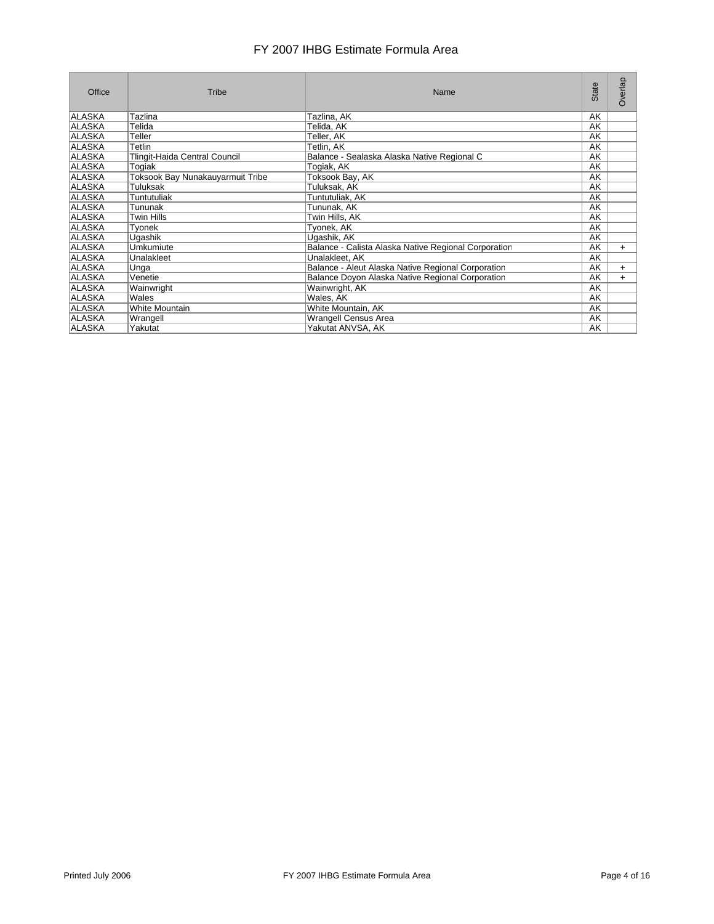| Office        | Tribe                            | Name                                                 | State | Overlap   |
|---------------|----------------------------------|------------------------------------------------------|-------|-----------|
| ALASKA        | Tazlina                          | Tazlina, AK                                          | AK    |           |
| ALASKA        | Telida                           | Telida, AK                                           | AK    |           |
| ALASKA        | Teller                           | Teller, AK                                           | AK    |           |
| ALLASKA       | Tetlin                           | Tetlin, AK                                           | AK    |           |
| ALASKA        | Tlingit-Haida Central Council    | Balance - Sealaska Alaska Native Regional C          | AK    |           |
| ALASKA        | Togiak                           | Togiak, AK                                           | AK    |           |
| ALASKA        | Toksook Bay Nunakauyarmuit Tribe | Toksook Bay, AK                                      | AK    |           |
| ALASKA        | Tuluksak                         | Tuluksak, AK                                         | AK    |           |
| ALASKA        | Tuntutuliak                      | Tuntutuliak, AK                                      | AK    |           |
| ALASKA        | Tununak                          | Tununak, AK                                          | AK    |           |
| ALASKA        | Twin Hills                       | Twin Hills, AK                                       | AK    |           |
| ALASKA        | Tyonek                           | Tyonek, AK                                           | AK    |           |
| ALASKA        | Uqashik                          | Ugashik, AK                                          | AK    |           |
| ALASKA        | Umkumiute                        | Balance - Calista Alaska Native Regional Corporation | AK    | $+$       |
| ALASKA        | Unalakleet                       | Unalakleet, AK                                       | AK    |           |
| ALASKA        | Unga                             | Balance - Aleut Alaska Native Regional Corporation   | AK    | $+$       |
| ALASKA        | Venetie                          | Balance Doyon Alaska Native Regional Corporation     | AK    | $\ddot{}$ |
| ALASKA        | Wainwright                       | Wainwright, AK                                       | AK    |           |
| ALASKA        | <b>Wales</b>                     | Wales, AK                                            | AK    |           |
| ALASKA        | White Mountain                   | White Mountain, AK                                   | AK    |           |
| <b>ALASKA</b> | Wrangell                         | Wrangell Census Area                                 | AK    |           |
| ALASKA        | Yakutat                          | Yakutat ANVSA, AK                                    | AK    |           |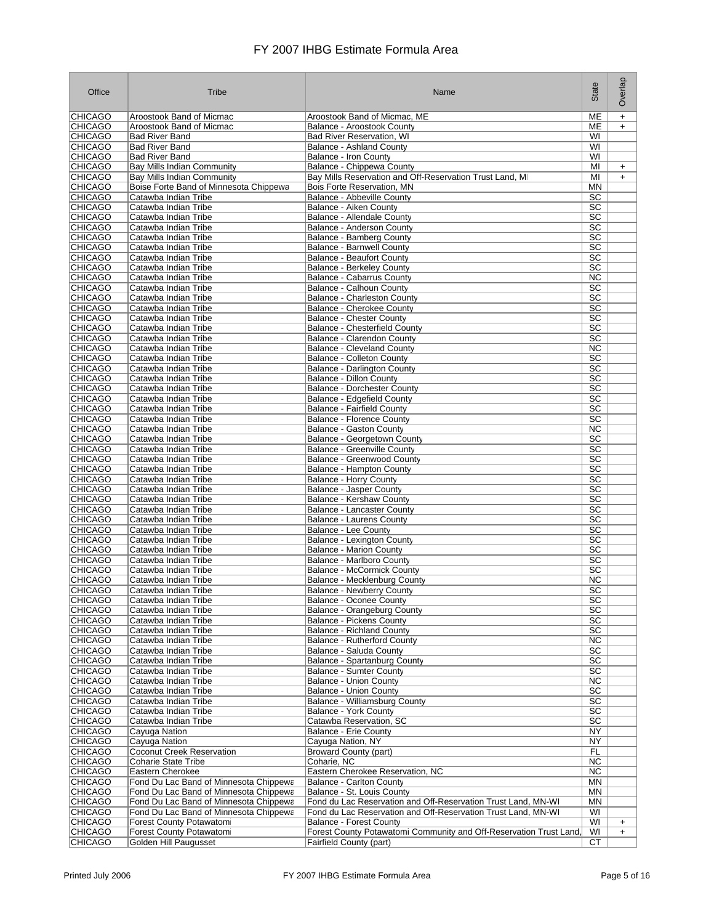| Office                           | Tribe                                                          | Name                                                               | State                  | Overlap   |
|----------------------------------|----------------------------------------------------------------|--------------------------------------------------------------------|------------------------|-----------|
| <b>CHICAGO</b>                   | Aroostook Band of Micmac                                       | Aroostook Band of Micmac, ME                                       | MЕ                     | $\ddot{}$ |
| <b>CHICAGO</b>                   | Aroostook Band of Micmac                                       | Balance - Aroostook County                                         | ME                     | $\ddot{}$ |
| <b>CHICAGO</b>                   | <b>Bad River Band</b>                                          | <b>Bad River Reservation, WI</b>                                   | WI                     |           |
| <b>CHICAGO</b>                   | <b>Bad River Band</b>                                          | <b>Balance - Ashland County</b>                                    | WI                     |           |
| <b>CHICAGO</b>                   | <b>Bad River Band</b>                                          | Balance - Iron County                                              | WI                     |           |
| <b>CHICAGO</b>                   | Bay Mills Indian Community                                     | Balance - Chippewa County                                          | MI                     | $\ddot{}$ |
| <b>CHICAGO</b>                   | Bay Mills Indian Community                                     | Bay Mills Reservation and Off-Reservation Trust Land, MI           | MI                     | $\ddot{}$ |
| <b>CHICAGO</b><br><b>CHICAGO</b> | Boise Forte Band of Minnesota Chippewa<br>Catawba Indian Tribe | Bois Forte Reservation, MN<br>Balance - Abbeville County           | MN<br>SC               |           |
| <b>CHICAGO</b>                   | Catawba Indian Tribe                                           | Balance - Aiken County                                             | SC                     |           |
| <b>CHICAGO</b>                   | Catawba Indian Tribe                                           | Balance - Allendale County                                         | SC                     |           |
| <b>CHICAGO</b>                   | Catawba Indian Tribe                                           | Balance - Anderson County                                          | SC                     |           |
| <b>CHICAGO</b>                   | Catawba Indian Tribe                                           | Balance - Bamberg County                                           | $\overline{SC}$        |           |
| <b>CHICAGO</b>                   | Catawba Indian Tribe                                           | <b>Balance - Barnwell County</b>                                   | SC                     |           |
| <b>CHICAGO</b>                   | Catawba Indian Tribe                                           | <b>Balance - Beaufort County</b>                                   | SC                     |           |
| <b>CHICAGO</b>                   | Catawba Indian Tribe                                           | <b>Balance - Berkeley County</b>                                   | SC                     |           |
| <b>CHICAGO</b>                   | Catawba Indian Tribe                                           | Balance - Cabarrus County                                          | <b>NC</b>              |           |
| <b>CHICAGO</b>                   | Catawba Indian Tribe                                           | Balance - Calhoun County                                           | SC                     |           |
| <b>CHICAGO</b>                   | Catawba Indian Tribe                                           | <b>Balance - Charleston County</b>                                 | SC                     |           |
| <b>CHICAGO</b>                   | Catawba Indian Tribe                                           | Balance - Cherokee County                                          | SC                     |           |
| <b>CHICAGO</b>                   | Catawba Indian Tribe                                           | <b>Balance - Chester County</b>                                    | $\overline{SC}$        |           |
| <b>CHICAGO</b>                   | Catawba Indian Tribe                                           | Balance - Chesterfield County                                      | SC<br>SC               |           |
| <b>CHICAGO</b><br><b>CHICAGO</b> | Catawba Indian Tribe<br>Catawba Indian Tribe                   | Balance - Clarendon County<br><b>Balance - Cleveland County</b>    | <b>NC</b>              |           |
| <b>CHICAGO</b>                   | Catawba Indian Tribe                                           | <b>Balance - Colleton County</b>                                   | $\overline{SC}$        |           |
| <b>CHICAGO</b>                   | Catawba Indian Tribe                                           | <b>Balance - Darlington County</b>                                 | SC                     |           |
| <b>CHICAGO</b>                   | Catawba Indian Tribe                                           | Balance - Dillon County                                            | $\overline{SC}$        |           |
| <b>CHICAGO</b>                   | Catawba Indian Tribe                                           | <b>Balance - Dorchester County</b>                                 | $\overline{SC}$        |           |
| <b>CHICAGO</b>                   | Catawba Indian Tribe                                           | Balance - Edgefield County                                         | $\overline{SC}$        |           |
| <b>CHICAGO</b>                   | Catawba Indian Tribe                                           | <b>Balance - Fairfield County</b>                                  | SC                     |           |
| <b>CHICAGO</b>                   | Catawba Indian Tribe                                           | <b>Balance - Florence County</b>                                   | SC                     |           |
| <b>CHICAGO</b>                   | Catawba Indian Tribe                                           | Balance - Gaston County                                            | $\overline{\text{NC}}$ |           |
| <b>CHICAGO</b>                   | Catawba Indian Tribe                                           | Balance - Georgetown County                                        | SC                     |           |
| <b>CHICAGO</b>                   | Catawba Indian Tribe                                           | Balance - Greenville County                                        | $\overline{SC}$        |           |
| <b>CHICAGO</b>                   | Catawba Indian Tribe                                           | Balance - Greenwood County                                         | SC                     |           |
| <b>CHICAGO</b>                   | Catawba Indian Tribe                                           | Balance - Hampton County                                           | SC                     |           |
| <b>CHICAGO</b><br><b>CHICAGO</b> | Catawba Indian Tribe<br>Catawba Indian Tribe                   | Balance - Horry County                                             | SC<br>$\overline{SC}$  |           |
| <b>CHICAGO</b>                   | Catawba Indian Tribe                                           | Balance - Jasper County<br>Balance - Kershaw County                | SC                     |           |
| <b>CHICAGO</b>                   | Catawba Indian Tribe                                           | Balance - Lancaster County                                         | SC                     |           |
| <b>CHICAGO</b>                   | Catawba Indian Tribe                                           | <b>Balance - Laurens County</b>                                    | SC                     |           |
| <b>CHICAGO</b>                   | Catawba Indian Tribe                                           | Balance - Lee County                                               | SC                     |           |
| <b>CHICAGO</b>                   | Catawba Indian Tribe                                           | Balance - Lexington County                                         | SC                     |           |
| <b>CHICAGO</b>                   | Catawba Indian Tribe                                           | <b>Balance - Marion County</b>                                     | SC                     |           |
| <b>CHICAGO</b>                   | Catawba Indian Tribe                                           | Balance - Marlboro County                                          | SC                     |           |
| <b>CHICAGO</b>                   | Catawba Indian Tribe                                           | <b>Balance - McCormick County</b>                                  | $\overline{SC}$        |           |
| <b>CHICAGO</b>                   | Catawba Indian Tribe                                           | Balance - Mecklenburg County                                       | <b>NC</b>              |           |
| <b>CHICAGO</b>                   | Catawba Indian Tribe                                           | <b>Balance - Newberry County</b>                                   | SC                     |           |
| <b>CHICAGO</b>                   | Catawba Indian Tribe                                           | Balance - Oconee County                                            | SC<br>$\overline{SC}$  |           |
| <b>CHICAGO</b><br><b>CHICAGO</b> | Catawba Indian Tribe<br>Catawba Indian Tribe                   | Balance - Orangeburg County<br><b>Balance - Pickens County</b>     | $\overline{SC}$        |           |
| <b>CHICAGO</b>                   | Catawba Indian Tribe                                           | <b>Balance - Richland County</b>                                   | SC                     |           |
| <b>CHICAGO</b>                   | Catawba Indian Tribe                                           | Balance - Rutherford County                                        | NC.                    |           |
| <b>CHICAGO</b>                   | Catawba Indian Tribe                                           | Balance - Saluda County                                            | $\overline{SC}$        |           |
| <b>CHICAGO</b>                   | Catawba Indian Tribe                                           | <b>Balance - Spartanburg County</b>                                | $\overline{SC}$        |           |
| <b>CHICAGO</b>                   | Catawba Indian Tribe                                           | Balance - Sumter County                                            | SC                     |           |
| <b>CHICAGO</b>                   | Catawba Indian Tribe                                           | <b>Balance - Union County</b>                                      | NC.                    |           |
| <b>CHICAGO</b>                   | Catawba Indian Tribe                                           | <b>Balance - Union County</b>                                      | SC                     |           |
| <b>CHICAGO</b>                   | Catawba Indian Tribe                                           | Balance - Williamsburg County                                      | SC                     |           |
| <b>CHICAGO</b>                   | Catawba Indian Tribe                                           | <b>Balance - York County</b>                                       | SC                     |           |
| <b>CHICAGO</b>                   | Catawba Indian Tribe                                           | Catawba Reservation, SC                                            | SC                     |           |
| <b>CHICAGO</b>                   | Cayuga Nation                                                  | <b>Balance - Erie County</b>                                       | NY                     |           |
| <b>CHICAGO</b><br><b>CHICAGO</b> | Cayuga Nation                                                  | Cayuga Nation, NY<br><b>Broward County (part)</b>                  | NY.<br>FL              |           |
| <b>CHICAGO</b>                   | <b>Coconut Creek Reservation</b><br><b>Coharie State Tribe</b> | Coharie, NC                                                        | NC                     |           |
| <b>CHICAGO</b>                   | Eastern Cherokee                                               | Eastern Cherokee Reservation, NC                                   | NC.                    |           |
| <b>CHICAGO</b>                   | Fond Du Lac Band of Minnesota Chippewa                         | <b>Balance - Carlton County</b>                                    | ΜN                     |           |
| <b>CHICAGO</b>                   | Fond Du Lac Band of Minnesota Chippewa                         | Balance - St. Louis County                                         | ΜN                     |           |
| <b>CHICAGO</b>                   | Fond Du Lac Band of Minnesota Chippewa                         | Fond du Lac Reservation and Off-Reservation Trust Land, MN-WI      | ΜN                     |           |
| <b>CHICAGO</b>                   | Fond Du Lac Band of Minnesota Chippewa                         | Fond du Lac Reservation and Off-Reservation Trust Land, MN-WI      | WI                     |           |
| <b>CHICAGO</b>                   | Forest County Potawatomi                                       | <b>Balance - Forest County</b>                                     | WI                     | $\ddot{}$ |
| <b>CHICAGO</b>                   | Forest County Potawatomi                                       | Forest County Potawatomi Community and Off-Reservation Trust Land, | WI                     | $+$       |
| <b>CHICAGO</b>                   | Golden Hill Paugusset                                          | Fairfield County (part)                                            | СT                     |           |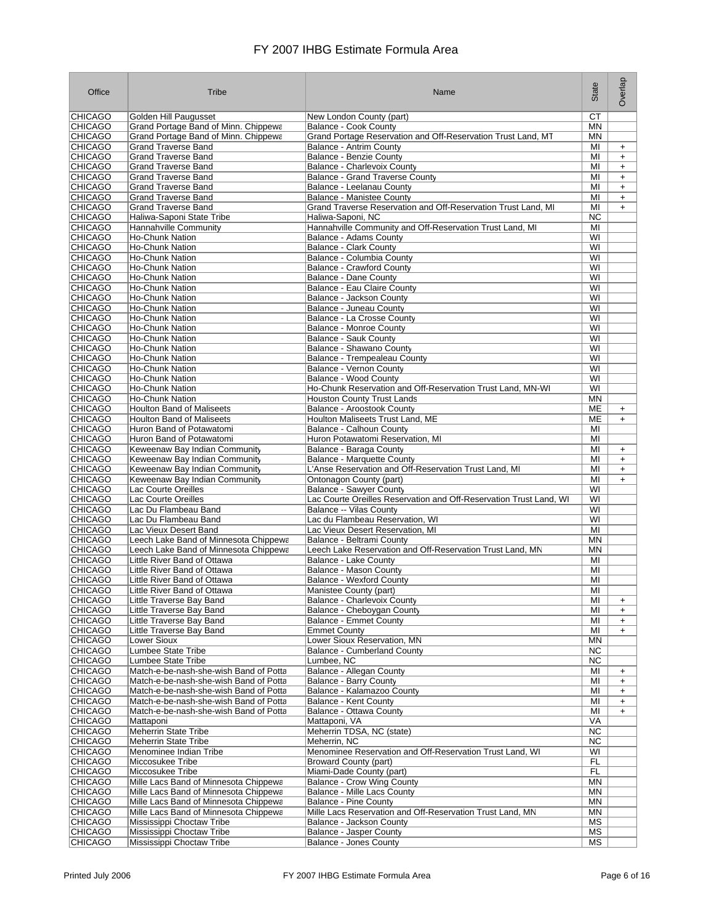| Office                           | Tribe                                                      | Name                                                                               | State                  | Overlap                          |
|----------------------------------|------------------------------------------------------------|------------------------------------------------------------------------------------|------------------------|----------------------------------|
| <b>CHICAGO</b>                   | Golden Hill Paugusset                                      | New London County (part)                                                           | СT                     |                                  |
| <b>CHICAGO</b>                   | Grand Portage Band of Minn. Chippewa                       | <b>Balance - Cook County</b>                                                       | ΜN                     |                                  |
| <b>CHICAGO</b>                   | Grand Portage Band of Minn. Chippewa                       | Grand Portage Reservation and Off-Reservation Trust Land, MT                       | ΜN                     |                                  |
| <b>CHICAGO</b>                   | <b>Grand Traverse Band</b>                                 | <b>Balance - Antrim County</b>                                                     | MI                     | $\ddot{}$                        |
| <b>CHICAGO</b>                   | <b>Grand Traverse Band</b>                                 | <b>Balance - Benzie County</b>                                                     | MI                     | $\ddot{}$                        |
| <b>CHICAGO</b>                   | <b>Grand Traverse Band</b>                                 | Balance - Charlevoix County                                                        | MI                     | $\ddot{}$                        |
| <b>CHICAGO</b>                   | <b>Grand Traverse Band</b>                                 | <b>Balance - Grand Traverse County</b>                                             | MI                     | $\ddot{}$                        |
| <b>CHICAGO</b>                   | <b>Grand Traverse Band</b>                                 | Balance - Leelanau County                                                          | MI                     | $\ddot{}$                        |
| <b>CHICAGO</b>                   | <b>Grand Traverse Band</b>                                 | <b>Balance - Manistee County</b>                                                   | MI                     | $\ddot{}$                        |
| <b>CHICAGO</b>                   | <b>Grand Traverse Band</b>                                 | Grand Traverse Reservation and Off-Reservation Trust Land, MI                      | MI                     | $+$                              |
| <b>CHICAGO</b>                   | Haliwa-Saponi State Tribe                                  | Haliwa-Saponi, NC                                                                  | <b>NC</b>              |                                  |
| <b>CHICAGO</b><br><b>CHICAGO</b> | Hannahville Community<br>Ho-Chunk Nation                   | Hannahville Community and Off-Reservation Trust Land, MI<br>Balance - Adams County | MI<br>WI               |                                  |
| <b>CHICAGO</b>                   | <b>Ho-Chunk Nation</b>                                     | <b>Balance - Clark County</b>                                                      | WI                     |                                  |
| <b>CHICAGO</b>                   | <b>Ho-Chunk Nation</b>                                     | Balance - Columbia County                                                          | WI                     |                                  |
| <b>CHICAGO</b>                   | <b>Ho-Chunk Nation</b>                                     | Balance - Crawford County                                                          | WI                     |                                  |
| <b>CHICAGO</b>                   | <b>Ho-Chunk Nation</b>                                     | Balance - Dane County                                                              | WI                     |                                  |
| <b>CHICAGO</b>                   | <b>Ho-Chunk Nation</b>                                     | Balance - Eau Claire County                                                        | WI                     |                                  |
| <b>CHICAGO</b>                   | <b>Ho-Chunk Nation</b>                                     | Balance - Jackson County                                                           | WI                     |                                  |
| <b>CHICAGO</b>                   | <b>Ho-Chunk Nation</b>                                     | Balance - Juneau County                                                            | WI                     |                                  |
| <b>CHICAGO</b>                   | Ho-Chunk Nation                                            | Balance - La Crosse County                                                         | WI                     |                                  |
| <b>CHICAGO</b>                   | <b>Ho-Chunk Nation</b>                                     | Balance - Monroe County                                                            | WI                     |                                  |
| <b>CHICAGO</b>                   | <b>Ho-Chunk Nation</b>                                     | Balance - Sauk County                                                              | WI                     |                                  |
| <b>CHICAGO</b>                   | <b>Ho-Chunk Nation</b>                                     | Balance - Shawano County                                                           | WI                     |                                  |
| <b>CHICAGO</b>                   | <b>Ho-Chunk Nation</b>                                     | Balance - Trempealeau County                                                       | WI                     |                                  |
| <b>CHICAGO</b>                   | <b>Ho-Chunk Nation</b>                                     | Balance - Vernon County                                                            | WI                     |                                  |
| <b>CHICAGO</b>                   | <b>Ho-Chunk Nation</b>                                     | Balance - Wood County                                                              | WI                     |                                  |
| <b>CHICAGO</b>                   | <b>Ho-Chunk Nation</b>                                     | Ho-Chunk Reservation and Off-Reservation Trust Land, MN-WI                         | WI                     |                                  |
| <b>CHICAGO</b>                   | <b>Ho-Chunk Nation</b><br><b>Houlton Band of Maliseets</b> | <b>Houston County Trust Lands</b>                                                  | <b>MN</b><br><b>ME</b> |                                  |
| <b>CHICAGO</b><br><b>CHICAGO</b> | <b>Houlton Band of Maliseets</b>                           | Balance - Aroostook County<br>Houlton Maliseets Trust Land, ME                     | ME                     | $\ddot{}$<br>$\ddot{}$           |
| <b>CHICAGO</b>                   | Huron Band of Potawatomi                                   | Balance - Calhoun County                                                           | MI                     |                                  |
| <b>CHICAGO</b>                   | Huron Band of Potawatomi                                   | Huron Potawatomi Reservation, MI                                                   | MI                     |                                  |
| <b>CHICAGO</b>                   | Keweenaw Bay Indian Community                              | Balance - Baraga County                                                            | MI                     | $\ddot{}$                        |
| <b>CHICAGO</b>                   | Keweenaw Bay Indian Community                              | Balance - Marquette County                                                         | MI                     | $+$                              |
| <b>CHICAGO</b>                   | Keweenaw Bay Indian Community                              | L'Anse Reservation and Off-Reservation Trust Land, MI                              | MI                     | $\ddot{}$                        |
| <b>CHICAGO</b>                   | Keweenaw Bay Indian Community                              | Ontonagon County (part)                                                            | MI                     | $\ddot{}$                        |
| <b>CHICAGO</b>                   | Lac Courte Oreilles                                        | Balance - Sawyer County                                                            | WI                     |                                  |
| <b>CHICAGO</b>                   | Lac Courte Oreilles                                        | Lac Courte Oreilles Reservation and Off-Reservation Trust Land, WI                 | WI                     |                                  |
| <b>CHICAGO</b>                   | Lac Du Flambeau Band                                       | Balance -- Vilas County                                                            | WI                     |                                  |
| <b>CHICAGO</b>                   | Lac Du Flambeau Band                                       | Lac du Flambeau Reservation, WI                                                    | WI                     |                                  |
| <b>CHICAGO</b>                   | Lac Vieux Desert Band                                      | Lac Vieux Desert Reservation, MI                                                   | MI                     |                                  |
| <b>CHICAGO</b>                   | Leech Lake Band of Minnesota Chippewa                      | Balance - Beltrami County                                                          | <b>MN</b>              |                                  |
| <b>CHICAGO</b>                   | Leech Lake Band of Minnesota Chippewa                      | Leech Lake Reservation and Off-Reservation Trust Land, MN                          | MN                     |                                  |
| <b>CHICAGO</b><br><b>CHICAGO</b> | Little River Band of Ottawa                                | Balance - Lake County                                                              | MI                     |                                  |
| <b>CHICAGO</b>                   | Little River Band of Ottawa<br>Little River Band of Ottawa | Balance - Mason County<br><b>Balance - Wexford County</b>                          | MI<br>MI               |                                  |
| <b>CHICAGO</b>                   | Little River Band of Ottawa                                | Manistee County (part)                                                             | MI                     |                                  |
| <b>CHICAGO</b>                   | Little Traverse Bay Band                                   | Balance - Charlevoix County                                                        | MI                     | $\ddot{}$                        |
| <b>CHICAGO</b>                   | Little Traverse Bay Band                                   | Balance - Cheboygan County                                                         | MI                     | $\ddot{}$                        |
| <b>CHICAGO</b>                   | <b>Little Traverse Bay Band</b>                            | <b>Balance - Emmet County</b>                                                      | MI                     | $+$                              |
| <b>CHICAGO</b>                   | Little Traverse Bay Band                                   | <b>Emmet County</b>                                                                | MI                     | $+$                              |
| <b>CHICAGO</b>                   | <b>Lower Sioux</b>                                         | Lower Sioux Reservation, MN                                                        | ΜN                     |                                  |
| <b>CHICAGO</b>                   | <b>Lumbee State Tribe</b>                                  | <b>Balance - Cumberland County</b>                                                 | <b>NC</b>              |                                  |
| <b>CHICAGO</b>                   | Lumbee State Tribe                                         | Lumbee, NC                                                                         | <b>NC</b>              |                                  |
| <b>CHICAGO</b>                   | Match-e-be-nash-she-wish Band of Potta                     | <b>Balance - Allegan County</b>                                                    | MI                     | $\ddot{}$                        |
| <b>CHICAGO</b>                   | Match-e-be-nash-she-wish Band of Potta                     | Balance - Barry County                                                             | MI                     | $\begin{array}{c} + \end{array}$ |
| <b>CHICAGO</b>                   | Match-e-be-nash-she-wish Band of Potta                     | Balance - Kalamazoo County                                                         | MI                     | $\ddot{}$                        |
| <b>CHICAGO</b>                   | Match-e-be-nash-she-wish Band of Potta                     | Balance - Kent County                                                              | MI                     | $\ddot{}$                        |
| <b>CHICAGO</b>                   | Match-e-be-nash-she-wish Band of Potta                     | Balance - Ottawa County                                                            | MI                     | $\ddot{}$                        |
| <b>CHICAGO</b>                   | Mattaponi                                                  | Mattaponi, VA                                                                      | VA                     |                                  |
| <b>CHICAGO</b><br><b>CHICAGO</b> | Meherrin State Tribe<br><b>Meherrin State Tribe</b>        | Meherrin TDSA, NC (state)<br>Meherrin, NC                                          | NC<br><b>NC</b>        |                                  |
| <b>CHICAGO</b>                   | Menominee Indian Tribe                                     | Menominee Reservation and Off-Reservation Trust Land, WI                           | WI                     |                                  |
| <b>CHICAGO</b>                   | Miccosukee Tribe                                           | Broward County (part)                                                              | FL.                    |                                  |
| <b>CHICAGO</b>                   | Miccosukee Tribe                                           | Miami-Dade County (part)                                                           | FL                     |                                  |
| <b>CHICAGO</b>                   | Mille Lacs Band of Minnesota Chippewa                      | Balance - Crow Wing County                                                         | MN                     |                                  |
| <b>CHICAGO</b>                   | Mille Lacs Band of Minnesota Chippewa                      | Balance - Mille Lacs County                                                        | ΜN                     |                                  |
| <b>CHICAGO</b>                   | Mille Lacs Band of Minnesota Chippewa                      | Balance - Pine County                                                              | ΜN                     |                                  |
| <b>CHICAGO</b>                   | Mille Lacs Band of Minnesota Chippewa                      | Mille Lacs Reservation and Off-Reservation Trust Land, MN                          | <b>MN</b>              |                                  |
| <b>CHICAGO</b>                   | Mississippi Choctaw Tribe                                  | Balance - Jackson County                                                           | MS                     |                                  |
| <b>CHICAGO</b>                   | Mississippi Choctaw Tribe                                  | Balance - Jasper County                                                            | МS                     |                                  |
| <b>CHICAGO</b>                   | Mississippi Choctaw Tribe                                  | Balance - Jones County                                                             | МS                     |                                  |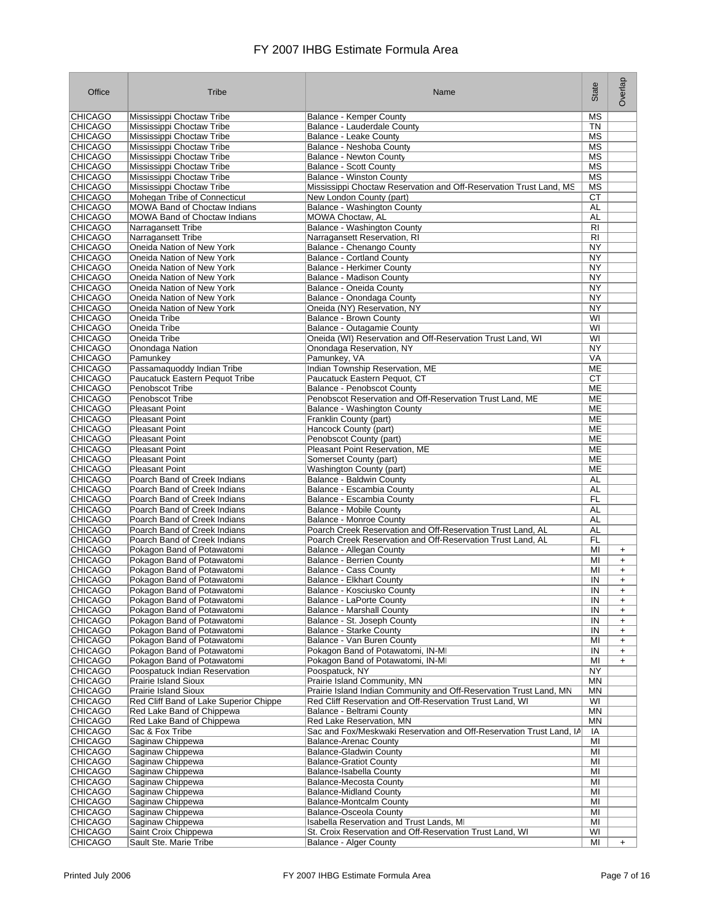| Office                           | Tribe                                                        | Name                                                                                            | State           | Overlap                |
|----------------------------------|--------------------------------------------------------------|-------------------------------------------------------------------------------------------------|-----------------|------------------------|
| <b>CHICAGO</b>                   | Mississippi Choctaw Tribe                                    | <b>Balance - Kemper County</b>                                                                  | MS              |                        |
| <b>CHICAGO</b>                   | Mississippi Choctaw Tribe                                    | Balance - Lauderdale County                                                                     | <b>TN</b>       |                        |
| <b>CHICAGO</b>                   | Mississippi Choctaw Tribe                                    | Balance - Leake County                                                                          | МS              |                        |
| <b>CHICAGO</b><br>CHICAGO        | Mississippi Choctaw Tribe<br>Mississippi Choctaw Tribe       | Balance - Neshoba County<br><b>Balance - Newton County</b>                                      | MS<br>МS        |                        |
| <b>CHICAGO</b>                   | Mississippi Choctaw Tribe                                    | <b>Balance - Scott County</b>                                                                   | MS              |                        |
| <b>CHICAGO</b>                   | Mississippi Choctaw Tribe                                    | <b>Balance - Winston County</b>                                                                 | <b>MS</b>       |                        |
| <b>CHICAGO</b>                   | Mississippi Choctaw Tribe                                    | Mississippi Choctaw Reservation and Off-Reservation Trust Land, MS                              | МS              |                        |
| <b>CHICAGO</b>                   | Mohegan Tribe of Connecticut                                 | New London County (part)                                                                        | СT              |                        |
| <b>CHICAGO</b>                   | <b>MOWA Band of Choctaw Indians</b>                          | Balance - Washington County                                                                     | AL              |                        |
| <b>CHICAGO</b>                   | <b>MOWA Band of Choctaw Indians</b>                          | <b>MOWA Choctaw. AL</b>                                                                         | AL              |                        |
| <b>CHICAGO</b><br><b>CHICAGO</b> | Narragansett Tribe<br>Narragansett Tribe                     | Balance - Washington County<br>Narragansett Reservation, RI                                     | RI<br>RI        |                        |
| <b>CHICAGO</b>                   | Oneida Nation of New York                                    | Balance - Chenango County                                                                       | NY              |                        |
| <b>CHICAGO</b>                   | Oneida Nation of New York                                    | <b>Balance - Cortland County</b>                                                                | <b>NY</b>       |                        |
| <b>CHICAGO</b>                   | Oneida Nation of New York                                    | <b>Balance - Herkimer County</b>                                                                | NY              |                        |
| <b>CHICAGO</b>                   | Oneida Nation of New York                                    | Balance - Madison County                                                                        | NY              |                        |
| <b>CHICAGO</b>                   | Oneida Nation of New York                                    | Balance - Oneida County                                                                         | NY              |                        |
| <b>CHICAGO</b>                   | Oneida Nation of New York                                    | Balance - Onondaga County                                                                       | NY              |                        |
| <b>CHICAGO</b><br><b>CHICAGO</b> | Oneida Nation of New York<br>Oneida Tribe                    | Oneida (NY) Reservation, NY<br><b>Balance - Brown County</b>                                    | <b>NY</b><br>WI |                        |
| <b>CHICAGO</b>                   | Oneida Tribe                                                 | <b>Balance - Outagamie County</b>                                                               | WI              |                        |
| <b>CHICAGO</b>                   | Oneida Tribe                                                 | Oneida (WI) Reservation and Off-Reservation Trust Land, WI                                      | WI              |                        |
| <b>CHICAGO</b>                   | Onondaga Nation                                              | Onondaga Reservation, NY                                                                        | NY              |                        |
| <b>CHICAGO</b>                   | Pamunkey                                                     | Pamunkey, VA                                                                                    | VA              |                        |
| <b>CHICAGO</b>                   | Passamaquoddy Indian Tribe                                   | Indian Township Reservation, ME                                                                 | ME              |                        |
| <b>CHICAGO</b>                   | Paucatuck Eastern Pequot Tribe                               | Paucatuck Eastern Pequot, CT                                                                    | СT              |                        |
| <b>CHICAGO</b>                   | Penobscot Tribe<br>Penobscot Tribe                           | Balance - Penobscot County                                                                      | ME              |                        |
| <b>CHICAGO</b><br><b>CHICAGO</b> | <b>Pleasant Point</b>                                        | Penobscot Reservation and Off-Reservation Trust Land, ME<br>Balance - Washington County         | ME<br><b>ME</b> |                        |
| <b>CHICAGO</b>                   | <b>Pleasant Point</b>                                        | Franklin County (part)                                                                          | <b>ME</b>       |                        |
| <b>CHICAGO</b>                   | <b>Pleasant Point</b>                                        | Hancock County (part)                                                                           | <b>ME</b>       |                        |
| <b>CHICAGO</b>                   | <b>Pleasant Point</b>                                        | Penobscot County (part)                                                                         | МE              |                        |
| <b>CHICAGO</b>                   | <b>Pleasant Point</b>                                        | Pleasant Point Reservation, ME                                                                  | ME              |                        |
| <b>CHICAGO</b>                   | <b>Pleasant Point</b>                                        | Somerset County (part)                                                                          | ME              |                        |
| <b>CHICAGO</b>                   | <b>Pleasant Point</b>                                        | Washington County (part)                                                                        | <b>ME</b>       |                        |
| <b>CHICAGO</b><br><b>CHICAGO</b> | Poarch Band of Creek Indians<br>Poarch Band of Creek Indians | Balance - Baldwin County<br>Balance - Escambia County                                           | AL<br><b>AL</b> |                        |
| <b>CHICAGO</b>                   | Poarch Band of Creek Indians                                 | Balance - Escambia County                                                                       | FL              |                        |
| <b>CHICAGO</b>                   | Poarch Band of Creek Indians                                 | Balance - Mobile County                                                                         | AL              |                        |
| <b>CHICAGO</b>                   | Poarch Band of Creek Indians                                 | Balance - Monroe County                                                                         | AL              |                        |
| <b>CHICAGO</b>                   | Poarch Band of Creek Indians                                 | Poarch Creek Reservation and Off-Reservation Trust Land, AL                                     | AL              |                        |
| <b>CHICAGO</b>                   | Poarch Band of Creek Indians                                 | Poarch Creek Reservation and Off-Reservation Trust Land, AL                                     | FL              |                        |
| <b>CHICAGO</b>                   | Pokagon Band of Potawatomi                                   | Balance - Allegan County                                                                        | MI              | $\ddot{}$              |
| <b>CHICAGO</b><br><b>CHICAGO</b> | Pokagon Band of Potawatomi<br>Pokagon Band of Potawatomi     | <b>Balance - Berrien County</b><br><b>Balance - Cass County</b>                                 | MI<br>MI        | $\ddot{}$<br>$\ddot{}$ |
| <b>CHICAGO</b>                   | Pokagon Band of Potawatomi                                   | <b>Balance - Elkhart County</b>                                                                 | IN              | $\ddot{}$              |
| <b>CHICAGO</b>                   | Pokagon Band of Potawatomi                                   | Balance - Kosciusko County                                                                      | IN              | $\ddot{}$              |
| <b>CHICAGO</b>                   | Pokagon Band of Potawatomi                                   | Balance - LaPorte County                                                                        | IN              | $\ddot{}$              |
| <b>CHICAGO</b>                   | Pokagon Band of Potawatomi                                   | <b>Balance - Marshall County</b>                                                                | IN              | $\ddot{}$              |
| <b>CHICAGO</b>                   | Pokagon Band of Potawatomi                                   | Balance - St. Joseph County                                                                     | IN              | $\ddot{}$              |
| <b>CHICAGO</b><br><b>CHICAGO</b> | Pokagon Band of Potawatomi<br>Pokagon Band of Potawatomi     | Balance - Starke County<br>Balance - Van Buren County                                           | IN<br>MI        | $\ddot{}$              |
| <b>CHICAGO</b>                   | Pokagon Band of Potawatomi                                   | Pokagon Band of Potawatomi, IN-MI                                                               | IN              | $\ddot{}$<br>$\ddot{}$ |
| <b>CHICAGO</b>                   | Pokagon Band of Potawatomi                                   | Pokagon Band of Potawatomi, IN-MI                                                               | MI              | $\ddot{}$              |
| <b>CHICAGO</b>                   | Poospatuck Indian Reservation                                | Poospatuck, NY                                                                                  | NΥ              |                        |
| <b>CHICAGO</b>                   | <b>Prairie Island Sioux</b>                                  | Prairie Island Community, MN                                                                    | <b>MN</b>       |                        |
| <b>CHICAGO</b>                   | <b>Prairie Island Sioux</b>                                  | Prairie Island Indian Community and Off-Reservation Trust Land, MN                              | ΜN              |                        |
| <b>CHICAGO</b>                   | Red Cliff Band of Lake Superior Chippe                       | Red Cliff Reservation and Off-Reservation Trust Land, WI                                        | WI              |                        |
| <b>CHICAGO</b>                   | Red Lake Band of Chippewa                                    | Balance - Beltrami County                                                                       | MN              |                        |
| <b>CHICAGO</b><br><b>CHICAGO</b> | Red Lake Band of Chippewa<br>Sac & Fox Tribe                 | Red Lake Reservation, MN<br>Sac and Fox/Meskwaki Reservation and Off-Reservation Trust Land, IA | ΜN<br>IA        |                        |
| <b>CHICAGO</b>                   | Saginaw Chippewa                                             | <b>Balance-Arenac County</b>                                                                    | MI              |                        |
| <b>CHICAGO</b>                   | Saginaw Chippewa                                             | <b>Balance-Gladwin County</b>                                                                   | MI              |                        |
| <b>CHICAGO</b>                   | Saginaw Chippewa                                             | <b>Balance-Gratiot County</b>                                                                   | MI              |                        |
| <b>CHICAGO</b>                   | Saginaw Chippewa                                             | Balance-Isabella County                                                                         | MI              |                        |
| <b>CHICAGO</b>                   | Saginaw Chippewa                                             | <b>Balance-Mecosta County</b>                                                                   | MI              |                        |
| <b>CHICAGO</b>                   | Saginaw Chippewa                                             | <b>Balance-Midland County</b>                                                                   | MI              |                        |
| <b>CHICAGO</b><br><b>CHICAGO</b> | Saginaw Chippewa<br>Saginaw Chippewa                         | <b>Balance-Montcalm County</b><br><b>Balance-Osceola County</b>                                 | MI<br>MI        |                        |
| <b>CHICAGO</b>                   | Saginaw Chippewa                                             | Isabella Reservation and Trust Lands, MI                                                        | MI              |                        |
| <b>CHICAGO</b>                   | Saint Croix Chippewa                                         | St. Croix Reservation and Off-Reservation Trust Land, WI                                        | WI              |                        |
| <b>CHICAGO</b>                   | Sault Ste. Marie Tribe                                       | Balance - Alger County                                                                          | MI              | $\ddot{}$              |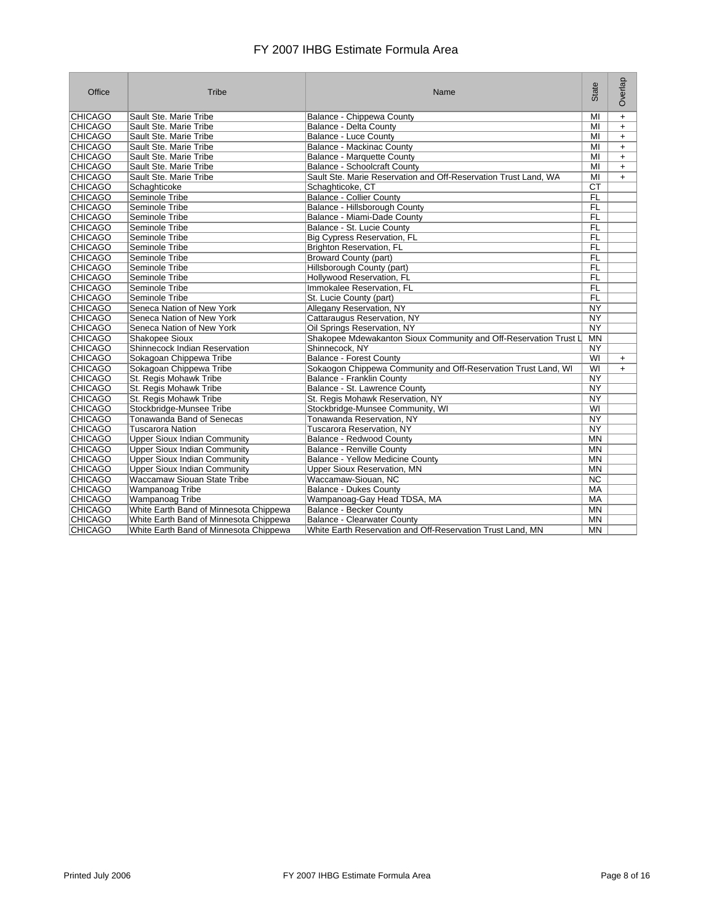| Office         | Tribe                                  | Name                                                             | State           | Overlap   |
|----------------|----------------------------------------|------------------------------------------------------------------|-----------------|-----------|
| <b>CHICAGO</b> | Sault Ste. Marie Tribe                 | Balance - Chippewa County                                        | MI              | $\ddot{}$ |
| <b>CHICAGO</b> | Sault Ste. Marie Tribe                 | Balance - Delta County                                           | MI              | $\ddot{}$ |
| <b>CHICAGO</b> | Sault Ste. Marie Tribe                 | <b>Balance - Luce County</b>                                     | MI              | $\ddot{}$ |
| <b>CHICAGO</b> | Sault Ste. Marie Tribe                 | Balance - Mackinac County                                        | MI              | $+$       |
| <b>CHICAGO</b> | Sault Ste. Marie Tribe                 | <b>Balance - Marquette County</b>                                | M <sub>l</sub>  | $\ddot{}$ |
| <b>CHICAGO</b> | Sault Ste. Marie Tribe                 | <b>Balance - Schoolcraft County</b>                              | MI              | $+$       |
| <b>CHICAGO</b> | Sault Ste. Marie Tribe                 | Sault Ste. Marie Reservation and Off-Reservation Trust Land, WA  | MI              | $+$       |
| <b>CHICAGO</b> | Schaghticoke                           | Schaghticoke, CT                                                 | <b>CT</b>       |           |
| <b>CHICAGO</b> | Seminole Tribe                         | <b>Balance - Collier County</b>                                  | FL              |           |
| <b>CHICAGO</b> | Seminole Tribe                         | Balance - Hillsborough County                                    | <b>FL</b>       |           |
| <b>CHICAGO</b> | Seminole Tribe                         | Balance - Miami-Dade County                                      | <b>FL</b>       |           |
| <b>CHICAGO</b> | Seminole Tribe                         | Balance - St. Lucie County                                       | <b>FL</b>       |           |
| <b>CHICAGO</b> | Seminole Tribe                         | Big Cypress Reservation, FL                                      | <b>FL</b>       |           |
| <b>CHICAGO</b> | Seminole Tribe                         | <b>Brighton Reservation, FL</b>                                  | <b>FL</b>       |           |
| <b>CHICAGO</b> | Seminole Tribe                         | <b>Broward County (part)</b>                                     | <b>FL</b>       |           |
| <b>CHICAGO</b> | Seminole Tribe                         | Hillsborough County (part)                                       | <b>FL</b>       |           |
| <b>CHICAGO</b> | Seminole Tribe                         | Hollywood Reservation, FL                                        | <b>FL</b>       |           |
| <b>CHICAGO</b> | Seminole Tribe                         | Immokalee Reservation, FL                                        | <b>FL</b>       |           |
| <b>CHICAGO</b> | Seminole Tribe                         | St. Lucie County (part)                                          | <b>FL</b>       |           |
| <b>CHICAGO</b> | Seneca Nation of New York              | Allegany Reservation, NY                                         | <b>NY</b>       |           |
| <b>CHICAGO</b> | Seneca Nation of New York              | Cattaraugus Reservation, NY                                      | $\overline{NY}$ |           |
| <b>CHICAGO</b> | Seneca Nation of New York              | Oil Springs Reservation, NY                                      | NY.             |           |
| <b>CHICAGO</b> | <b>Shakopee Sioux</b>                  | Shakopee Mdewakanton Sioux Community and Off-Reservation Trust L | MN              |           |
| <b>CHICAGO</b> | Shinnecock Indian Reservation          | Shinnecock, NY                                                   | NY              |           |
| <b>CHICAGO</b> | Sokagoan Chippewa Tribe                | <b>Balance - Forest County</b>                                   | WI              | $\ddot{}$ |
| <b>CHICAGO</b> | Sokagoan Chippewa Tribe                | Sokaogon Chippewa Community and Off-Reservation Trust Land, WI   | WI              | $+$       |
| <b>CHICAGO</b> | St. Regis Mohawk Tribe                 | <b>Balance - Franklin County</b>                                 | $\overline{NY}$ |           |
| <b>CHICAGO</b> | St. Regis Mohawk Tribe                 | Balance - St. Lawrence County                                    | NY              |           |
| <b>CHICAGO</b> | St. Regis Mohawk Tribe                 | St. Regis Mohawk Reservation, NY                                 | NY              |           |
| <b>CHICAGO</b> | Stockbridge-Munsee Tribe               | Stockbridge-Munsee Community, WI                                 | WI              |           |
| <b>CHICAGO</b> | Tonawanda Band of Senecas              | Tonawanda Reservation, NY                                        | <b>NY</b>       |           |
| <b>CHICAGO</b> | <b>Tuscarora Nation</b>                | Tuscarora Reservation, NY                                        | $\overline{NY}$ |           |
| <b>CHICAGO</b> | <b>Upper Sioux Indian Community</b>    | Balance - Redwood County                                         | <b>MN</b>       |           |
| <b>CHICAGO</b> | Upper Sioux Indian Community           | Balance - Renville County                                        | <b>MN</b>       |           |
| <b>CHICAGO</b> | <b>Upper Sioux Indian Community</b>    | <b>Balance - Yellow Medicine County</b>                          | <b>MN</b>       |           |
| <b>CHICAGO</b> | <b>Upper Sioux Indian Community</b>    | Upper Sioux Reservation, MN                                      | <b>MN</b>       |           |
| <b>CHICAGO</b> | Waccamaw Siouan State Tribe            | Waccamaw-Siouan, NC                                              | <b>NC</b>       |           |
| <b>CHICAGO</b> | Wampanoag Tribe                        | <b>Balance - Dukes County</b>                                    | <b>MA</b>       |           |
| <b>CHICAGO</b> | Wampanoag Tribe                        | Wampanoag-Gay Head TDSA, MA                                      | MA              |           |
| <b>CHICAGO</b> | White Earth Band of Minnesota Chippewa | Balance - Becker County                                          | MN              |           |
| <b>CHICAGO</b> | White Earth Band of Minnesota Chippewa | <b>Balance - Clearwater County</b>                               | <b>MN</b>       |           |
| <b>CHICAGO</b> | White Earth Band of Minnesota Chippewa | White Earth Reservation and Off-Reservation Trust Land, MN       | <b>MN</b>       |           |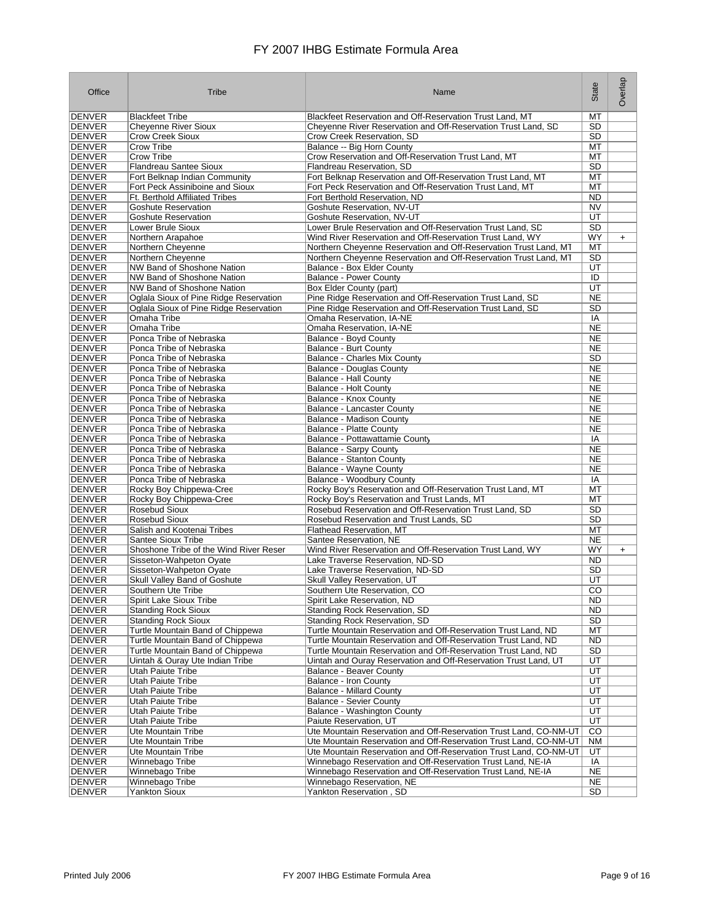| Office                         | Tribe                                                                    | Name                                                                                                      | State                  | Overlap   |
|--------------------------------|--------------------------------------------------------------------------|-----------------------------------------------------------------------------------------------------------|------------------------|-----------|
| <b>DENVER</b>                  | <b>Blackfeet Tribe</b>                                                   | Blackfeet Reservation and Off-Reservation Trust Land, MT                                                  | MT                     |           |
| <b>DENVER</b>                  | <b>Cheyenne River Sioux</b>                                              | Cheyenne River Reservation and Off-Reservation Trust Land, SD                                             | SD                     |           |
| <b>DENVER</b>                  | <b>Crow Creek Sioux</b>                                                  | Crow Creek Reservation, SD                                                                                | SD                     |           |
| <b>DENVER</b>                  | Crow Tribe                                                               | Balance -- Big Horn County                                                                                | МT                     |           |
| <b>DENVER</b>                  | <b>Crow Tribe</b>                                                        | Crow Reservation and Off-Reservation Trust Land, MT                                                       | MT                     |           |
| <b>DENVER</b>                  | Flandreau Santee Sioux                                                   | Flandreau Reservation, SD                                                                                 | SD                     |           |
| <b>DENVER</b>                  | Fort Belknap Indian Community                                            | Fort Belknap Reservation and Off-Reservation Trust Land, MT                                               | MT                     |           |
| <b>DENVER</b><br><b>DENVER</b> | Fort Peck Assiniboine and Sioux<br><b>Ft. Berthold Affiliated Tribes</b> | Fort Peck Reservation and Off-Reservation Trust Land, MT<br>Fort Berthold Reservation, ND                 | МT<br><b>ND</b>        |           |
| <b>DENVER</b>                  | <b>Goshute Reservation</b>                                               | Goshute Reservation, NV-UT                                                                                | <b>NV</b>              |           |
| <b>DENVER</b>                  | <b>Goshute Reservation</b>                                               | Goshute Reservation, NV-UT                                                                                | UT                     |           |
| <b>DENVER</b>                  | Lower Brule Sioux                                                        | Lower Brule Reservation and Off-Reservation Trust Land, SD                                                | SD                     |           |
| <b>DENVER</b>                  | Northern Arapahoe                                                        | Wind River Reservation and Off-Reservation Trust Land, WY                                                 | WY.                    | $\ddot{}$ |
| <b>DENVER</b>                  | Northern Cheyenne                                                        | Northern Cheyenne Reservation and Off-Reservation Trust Land, MT                                          | MT                     |           |
| <b>DENVER</b>                  | Northern Cheyenne                                                        | Northern Cheyenne Reservation and Off-Reservation Trust Land, MT                                          | SD                     |           |
| <b>DENVER</b>                  | NW Band of Shoshone Nation                                               | Balance - Box Elder County                                                                                | UT                     |           |
| <b>DENVER</b>                  | NW Band of Shoshone Nation                                               | <b>Balance - Power County</b>                                                                             | ID                     |           |
| <b>DENVER</b><br><b>DENVER</b> | NW Band of Shoshone Nation<br>Oglala Sioux of Pine Ridge Reservation     | Box Elder County (part)<br>Pine Ridge Reservation and Off-Reservation Trust Land, SD                      | UT<br><b>NE</b>        |           |
| <b>DENVER</b>                  | Oglala Sioux of Pine Ridge Reservation                                   | Pine Ridge Reservation and Off-Reservation Trust Land, SD                                                 | <b>SD</b>              |           |
| <b>DENVER</b>                  | Omaha Tribe                                                              | Omaha Reservation, IA-NE                                                                                  | IA                     |           |
| <b>DENVER</b>                  | Omaha Tribe                                                              | Omaha Reservation, IA-NE                                                                                  | <b>NE</b>              |           |
| <b>DENVER</b>                  | Ponca Tribe of Nebraska                                                  | Balance - Boyd County                                                                                     | <b>NE</b>              |           |
| <b>DENVER</b>                  | Ponca Tribe of Nebraska                                                  | Balance - Burt County                                                                                     | <b>NE</b>              |           |
| <b>DENVER</b>                  | Ponca Tribe of Nebraska                                                  | Balance - Charles Mix County                                                                              | SD                     |           |
| <b>DENVER</b>                  | Ponca Tribe of Nebraska                                                  | Balance - Douglas County                                                                                  | <b>NE</b>              |           |
| <b>DENVER</b>                  | Ponca Tribe of Nebraska                                                  | Balance - Hall County                                                                                     | <b>NE</b>              |           |
| <b>DENVER</b>                  | Ponca Tribe of Nebraska                                                  | Balance - Holt County                                                                                     | <b>NE</b>              |           |
| <b>DENVER</b><br><b>DENVER</b> | Ponca Tribe of Nebraska<br>Ponca Tribe of Nebraska                       | Balance - Knox County<br>Balance - Lancaster County                                                       | <b>NE</b><br><b>NE</b> |           |
| <b>DENVER</b>                  | Ponca Tribe of Nebraska                                                  | Balance - Madison County                                                                                  | <b>NE</b>              |           |
| <b>DENVER</b>                  | Ponca Tribe of Nebraska                                                  | Balance - Platte County                                                                                   | <b>NE</b>              |           |
| <b>DENVER</b>                  | Ponca Tribe of Nebraska                                                  | Balance - Pottawattamie County                                                                            | IA                     |           |
| <b>DENVER</b>                  | Ponca Tribe of Nebraska                                                  | Balance - Sarpy County                                                                                    | <b>NE</b>              |           |
| <b>DENVER</b>                  | Ponca Tribe of Nebraska                                                  | Balance - Stanton County                                                                                  | <b>NE</b>              |           |
| <b>DENVER</b>                  | Ponca Tribe of Nebraska                                                  | Balance - Wayne County                                                                                    | <b>NE</b>              |           |
| <b>DENVER</b>                  | Ponca Tribe of Nebraska                                                  | Balance - Woodbury County                                                                                 | IA                     |           |
| <b>DENVER</b><br><b>DENVER</b> | Rocky Boy Chippewa-Cree<br>Rocky Boy Chippewa-Cree                       | Rocky Boy's Reservation and Off-Reservation Trust Land, MT<br>Rocky Boy's Reservation and Trust Lands, MT | MT<br>МT               |           |
| <b>DENVER</b>                  | <b>Rosebud Sioux</b>                                                     | Rosebud Reservation and Off-Reservation Trust Land, SD                                                    | <b>SD</b>              |           |
| <b>DENVER</b>                  | <b>Rosebud Sioux</b>                                                     | Rosebud Reservation and Trust Lands, SD                                                                   | <b>SD</b>              |           |
| <b>DENVER</b>                  | Salish and Kootenai Tribes                                               | Flathead Reservation, MT                                                                                  | МT                     |           |
| <b>DENVER</b>                  | Santee Sioux Tribe                                                       | Santee Reservation, NE                                                                                    | <b>NE</b>              |           |
| <b>DENVER</b>                  | Shoshone Tribe of the Wind River Reser                                   | Wind River Reservation and Off-Reservation Trust Land, WY                                                 | <b>WY</b>              | $+$       |
| <b>DENVER</b>                  | Sisseton-Wahpeton Oyate                                                  | Lake Traverse Reservation, ND-SD                                                                          | <b>ND</b>              |           |
| <b>DENVER</b>                  | Sisseton-Wahpeton Oyate                                                  | Lake Traverse Reservation, ND-SD                                                                          | <b>SD</b>              |           |
| <b>DENVER</b><br><b>DENVER</b> | Skull Valley Band of Goshute<br>Southern Ute Tribe                       | Skull Valley Reservation, UT<br>Southern Ute Reservation, CO                                              | UT<br>CO               |           |
| DENVER                         | Spirit Lake Sioux Tribe                                                  | Spirit Lake Reservation, ND                                                                               | ND.                    |           |
| <b>DENVER</b>                  | <b>Standing Rock Sioux</b>                                               | Standing Rock Reservation, SD                                                                             | ND.                    |           |
| <b>DENVER</b>                  | <b>Standing Rock Sioux</b>                                               | Standing Rock Reservation, SD                                                                             | SD                     |           |
| <b>DENVER</b>                  | Turtle Mountain Band of Chippewa                                         | Turtle Mountain Reservation and Off-Reservation Trust Land, ND                                            | МT                     |           |
| <b>DENVER</b>                  | Turtle Mountain Band of Chippewa                                         | Turtle Mountain Reservation and Off-Reservation Trust Land, ND                                            | ND.                    |           |
| <b>DENVER</b>                  | Turtle Mountain Band of Chippewa                                         | Turtle Mountain Reservation and Off-Reservation Trust Land, ND                                            | SD                     |           |
| <b>DENVER</b>                  | Uintah & Ouray Ute Indian Tribe                                          | Uintah and Ouray Reservation and Off-Reservation Trust Land, UT                                           | UT                     |           |
| <b>DENVER</b><br><b>DENVER</b> | Utah Paiute Tribe                                                        | Balance - Beaver County<br>Balance - Iron County                                                          | UT<br>UT               |           |
| <b>DENVER</b>                  | Utah Paiute Tribe<br>Utah Paiute Tribe                                   | <b>Balance - Millard County</b>                                                                           | UT                     |           |
| <b>DENVER</b>                  | Utah Paiute Tribe                                                        | <b>Balance - Sevier County</b>                                                                            | UT                     |           |
| <b>DENVER</b>                  | Utah Paiute Tribe                                                        | Balance - Washington County                                                                               | UT                     |           |
| <b>DENVER</b>                  | Utah Paiute Tribe                                                        | Paiute Reservation, UT                                                                                    | UT                     |           |
| <b>DENVER</b>                  | Ute Mountain Tribe                                                       | Ute Mountain Reservation and Off-Reservation Trust Land, CO-NM-UT                                         | CO                     |           |
| <b>DENVER</b>                  | Ute Mountain Tribe                                                       | Ute Mountain Reservation and Off-Reservation Trust Land, CO-NM-UT                                         | NM                     |           |
| <b>DENVER</b>                  | Ute Mountain Tribe                                                       | Ute Mountain Reservation and Off-Reservation Trust Land, CO-NM-UT                                         | UT                     |           |
| <b>DENVER</b>                  | Winnebago Tribe                                                          | Winnebago Reservation and Off-Reservation Trust Land, NE-IA                                               | IA                     |           |
| <b>DENVER</b><br><b>DENVER</b> | Winnebago Tribe<br>Winnebago Tribe                                       | Winnebago Reservation and Off-Reservation Trust Land, NE-IA<br>Winnebago Reservation, NE                  | <b>NE</b><br>NE        |           |
| <b>DENVER</b>                  | <b>Yankton Sioux</b>                                                     | Yankton Reservation, SD                                                                                   | SD                     |           |
|                                |                                                                          |                                                                                                           |                        |           |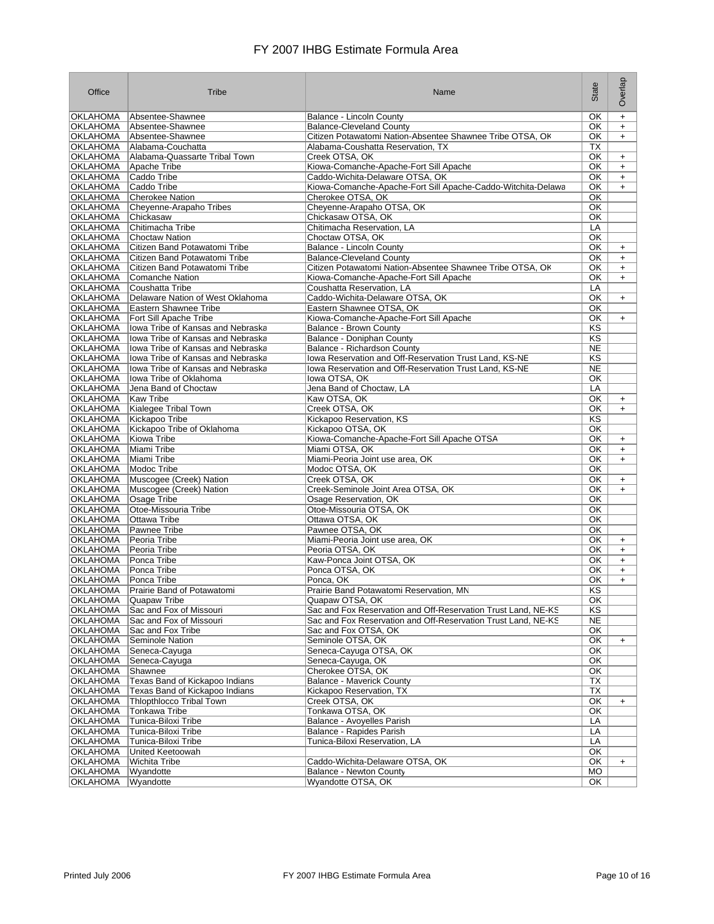| Office                             | Tribe                                                          | Name                                                                                         | State                  | Overlap                |
|------------------------------------|----------------------------------------------------------------|----------------------------------------------------------------------------------------------|------------------------|------------------------|
| <b>OKLAHOMA</b>                    | Absentee-Shawnee                                               | Balance - Lincoln County                                                                     | OK                     | $\ddot{}$              |
| <b>OKLAHOMA</b>                    | Absentee-Shawnee                                               | <b>Balance-Cleveland County</b>                                                              | OK                     | $+$                    |
| <b>OKLAHOMA</b>                    | Absentee-Shawnee                                               | Citizen Potawatomi Nation-Absentee Shawnee Tribe OTSA, OK                                    | OK                     | $\ddot{}$              |
| <b>OKLAHOMA</b><br><b>OKLAHOMA</b> | Alabama-Couchatta<br>Alabama-Quassarte Tribal Town             | Alabama-Coushatta Reservation, TX<br>Creek OTSA, OK                                          | ТX<br>OK.              |                        |
| <b>OKLAHOMA</b>                    | Apache Tribe                                                   | Kiowa-Comanche-Apache-Fort Sill Apache                                                       | OK                     | $\ddot{}$<br>$\ddot{}$ |
| <b>OKLAHOMA</b>                    | Caddo Tribe                                                    | Caddo-Wichita-Delaware OTSA, OK                                                              | <b>OK</b>              | $\ddot{}$              |
| <b>OKLAHOMA</b>                    | Caddo Tribe                                                    | Kiowa-Comanche-Apache-Fort Sill Apache-Caddo-Witchita-Delawa                                 | OK                     | $+$                    |
| <b>OKLAHOMA</b>                    | Cherokee Nation                                                | Cherokee OTSA, OK                                                                            | <b>OK</b>              |                        |
| <b>OKLAHOMA</b>                    | Cheyenne-Arapaho Tribes                                        | Cheyenne-Arapaho OTSA, OK                                                                    | <b>OK</b>              |                        |
| <b>OKLAHOMA</b>                    | Chickasaw                                                      | Chickasaw OTSA, OK                                                                           | OK                     |                        |
| <b>OKLAHOMA</b>                    | Chitimacha Tribe                                               | Chitimacha Reservation, LA                                                                   | LA                     |                        |
| <b>OKLAHOMA</b>                    | <b>Choctaw Nation</b>                                          | Choctaw OTSA, OK                                                                             | <b>OK</b>              |                        |
| <b>OKLAHOMA</b>                    | Citizen Band Potawatomi Tribe                                  | Balance - Lincoln County                                                                     | OK.                    | $\ddot{}$              |
| <b>OKLAHOMA</b><br><b>OKLAHOMA</b> | Citizen Band Potawatomi Tribe<br>Citizen Band Potawatomi Tribe | <b>Balance-Cleveland County</b><br>Citizen Potawatomi Nation-Absentee Shawnee Tribe OTSA, Ok | OK<br>OK               | $\ddot{}$<br>$+$       |
| <b>OKLAHOMA</b>                    | Comanche Nation                                                | Kiowa-Comanche-Apache-Fort Sill Apache                                                       | OK                     | $\ddot{}$              |
| <b>OKLAHOMA</b>                    | Coushatta Tribe                                                | Coushatta Reservation, LA                                                                    | LA                     |                        |
| <b>OKLAHOMA</b>                    | Delaware Nation of West Oklahoma                               | Caddo-Wichita-Delaware OTSA, OK                                                              | OK                     | $\ddot{}$              |
| <b>OKLAHOMA</b>                    | Eastern Shawnee Tribe                                          | Eastern Shawnee OTSA, OK                                                                     | OK                     |                        |
| <b>OKLAHOMA</b>                    | Fort Sill Apache Tribe                                         | Kiowa-Comanche-Apache-Fort Sill Apache                                                       | <b>OK</b>              | $\ddot{}$              |
| <b>OKLAHOMA</b>                    | Iowa Tribe of Kansas and Nebraska                              | Balance - Brown County                                                                       | <b>KS</b>              |                        |
| <b>OKLAHOMA</b>                    | Iowa Tribe of Kansas and Nebraska                              | Balance - Doniphan County                                                                    | KS                     |                        |
| <b>OKLAHOMA</b>                    | Iowa Tribe of Kansas and Nebraska                              | Balance - Richardson County                                                                  | <b>NE</b>              |                        |
| <b>OKLAHOMA</b>                    | Iowa Tribe of Kansas and Nebraska                              | Iowa Reservation and Off-Reservation Trust Land, KS-NE                                       | KS                     |                        |
| <b>OKLAHOMA</b>                    | Ilowa Tribe of Kansas and Nebraska                             | Iowa Reservation and Off-Reservation Trust Land, KS-NE                                       | <b>NE</b>              |                        |
| <b>OKLAHOMA</b>                    | Iowa Tribe of Oklahoma<br>Jena Band of Choctaw                 | lowa OTSA, OK                                                                                | OK                     |                        |
| <b>OKLAHOMA</b><br><b>OKLAHOMA</b> | Kaw Tribe                                                      | Jena Band of Choctaw, LA<br>Kaw OTSA, OK                                                     | LA<br>OK               | $+$                    |
| <b>OKLAHOMA</b>                    | Kialegee Tribal Town                                           | Creek OTSA, OK                                                                               | <b>OK</b>              | $+$                    |
| <b>OKLAHOMA</b>                    | Kickapoo Tribe                                                 | Kickapoo Reservation, KS                                                                     | KS                     |                        |
| <b>OKLAHOMA</b>                    | Kickapoo Tribe of Oklahoma                                     | Kickapoo OTSA, OK                                                                            | OK                     |                        |
| <b>OKLAHOMA</b>                    | Kiowa Tribe                                                    | Kiowa-Comanche-Apache-Fort Sill Apache OTSA                                                  | OK                     | $\ddot{}$              |
| <b>OKLAHOMA</b>                    | Miami Tribe                                                    | Miami OTSA, OK                                                                               | OK                     | $\ddot{}$              |
| <b>OKLAHOMA</b>                    | Miami Tribe                                                    | Miami-Peoria Joint use area, OK                                                              | <b>OK</b>              | $+$                    |
| <b>OKLAHOMA</b>                    | Modoc Tribe                                                    | Modoc OTSA, OK                                                                               | OK                     |                        |
| <b>OKLAHOMA</b>                    | Muscogee (Creek) Nation                                        | Creek OTSA, OK                                                                               | OK                     | $+$                    |
| <b>OKLAHOMA</b><br><b>OKLAHOMA</b> | Muscogee (Creek) Nation<br>Osage Tribe                         | Creek-Seminole Joint Area OTSA, OK                                                           | <b>OK</b><br><b>OK</b> | $+$                    |
| <b>OKLAHOMA</b>                    | Otoe-Missouria Tribe                                           | Osage Reservation, OK<br>Otoe-Missouria OTSA, OK                                             | <b>OK</b>              |                        |
| <b>OKLAHOMA</b>                    | Ottawa Tribe                                                   | Ottawa OTSA, OK                                                                              | OK                     |                        |
| <b>OKLAHOMA</b>                    | Pawnee Tribe                                                   | Pawnee OTSA, OK                                                                              | OK                     |                        |
| <b>OKLAHOMA</b>                    | Peoria Tribe                                                   | Miami-Peoria Joint use area, OK                                                              | <b>OK</b>              | $\ddot{}$              |
| <b>OKLAHOMA</b>                    | Peoria Tribe                                                   | Peoria OTSA, OK                                                                              | OK                     | $\ddot{}$              |
| <b>OKLAHOMA</b>                    | Ponca Tribe                                                    | Kaw-Ponca Joint OTSA, OK                                                                     | OK                     | $\ddot{}$              |
| <b>OKLAHOMA</b>                    | Ponca Tribe                                                    | Ponca OTSA, OK                                                                               | OK.                    | $\ddot{}$              |
| <b>OKLAHOMA</b>                    | Ponca Tribe                                                    | Ponca, OK                                                                                    | OK.                    | $\ddot{}$              |
| <b>OKLAHOMA</b>                    | Prairie Band of Potawatomi                                     | Prairie Band Potawatomi Reservation, MN                                                      | KS                     |                        |
| OKLAHOMA<br><b>OKLAHOMA</b>        | Quapaw Tribe<br>Sac and Fox of Missouri                        | Quapaw OTSA, OK<br>Sac and Fox Reservation and Off-Reservation Trust Land, NE-KS             | OK.<br>KS              |                        |
| <b>OKLAHOMA</b>                    | Sac and Fox of Missouri                                        | Sac and Fox Reservation and Off-Reservation Trust Land, NE-KS                                | <b>NE</b>              |                        |
| <b>OKLAHOMA</b>                    | Sac and Fox Tribe                                              | Sac and Fox OTSA, OK                                                                         | OK                     |                        |
| <b>OKLAHOMA</b>                    | Seminole Nation                                                | Seminole OTSA, OK                                                                            | $\overline{OK}$        | $\ddot{}$              |
| <b>OKLAHOMA</b>                    | Seneca-Cayuga                                                  | Seneca-Cayuga OTSA, OK                                                                       | OK                     |                        |
| <b>OKLAHOMA</b>                    | Seneca-Cayuga                                                  | Seneca-Cayuga, OK                                                                            | OK                     |                        |
| <b>OKLAHOMA</b>                    | Shawnee                                                        | Cherokee OTSA, OK                                                                            | OK                     |                        |
| <b>OKLAHOMA</b>                    | Texas Band of Kickapoo Indians                                 | <b>Balance - Maverick County</b>                                                             | TX                     |                        |
| <b>OKLAHOMA</b>                    | Texas Band of Kickapoo Indians                                 | Kickapoo Reservation, TX                                                                     | TX                     |                        |
| <b>OKLAHOMA</b>                    | <b>Thlopthlocco Tribal Town</b>                                | Creek OTSA, OK                                                                               | OK                     | $+$                    |
| <b>OKLAHOMA</b><br><b>OKLAHOMA</b> | Tonkawa Tribe<br>Tunica-Biloxi Tribe                           | Tonkawa OTSA, OK                                                                             | OK                     |                        |
| <b>OKLAHOMA</b>                    | Tunica-Biloxi Tribe                                            | Balance - Avoyelles Parish<br>Balance - Rapides Parish                                       | LA<br>LA               |                        |
| <b>OKLAHOMA</b>                    | Tunica-Biloxi Tribe                                            | Tunica-Biloxi Reservation, LA                                                                | LA                     |                        |
| <b>OKLAHOMA</b>                    | United Keetoowah                                               |                                                                                              | OK                     |                        |
| <b>OKLAHOMA</b>                    | Wichita Tribe                                                  | Caddo-Wichita-Delaware OTSA, OK                                                              | OK                     | $\ddot{}$              |
| <b>OKLAHOMA</b>                    | Wyandotte                                                      | Balance - Newton County                                                                      | MO                     |                        |
| <b>OKLAHOMA</b>                    | Wyandotte                                                      | Wyandotte OTSA, OK                                                                           | OK                     |                        |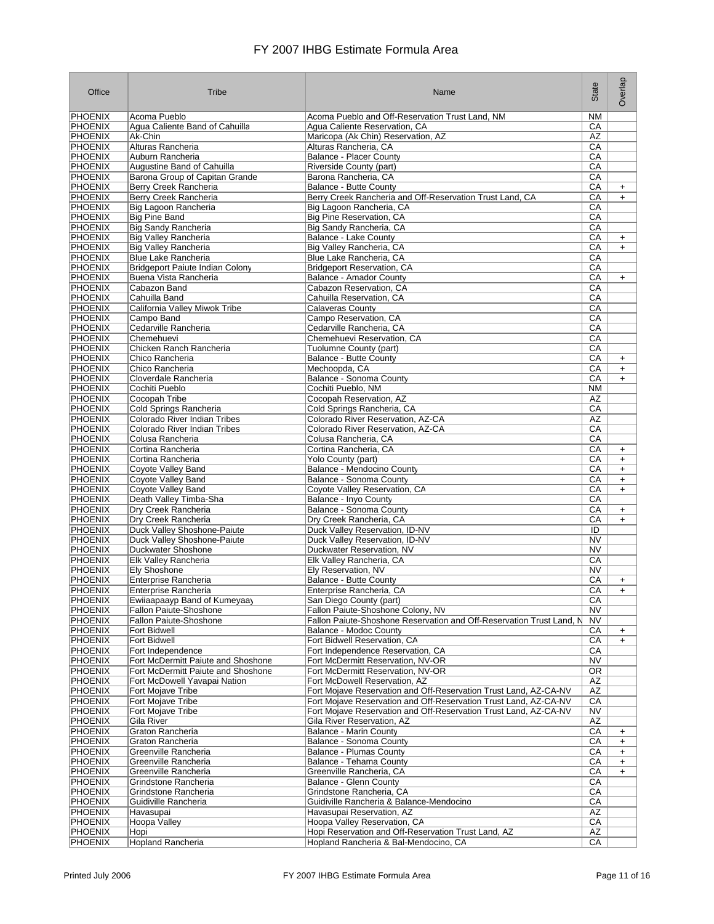| Office                           | Tribe                                                      | Name                                                                 | State                  | Overlap   |
|----------------------------------|------------------------------------------------------------|----------------------------------------------------------------------|------------------------|-----------|
| <b>PHOENIX</b>                   | Acoma Pueblo                                               | Acoma Pueblo and Off-Reservation Trust Land, NM                      | <b>NM</b>              |           |
| <b>PHOENIX</b>                   | Agua Caliente Band of Cahuilla                             | Agua Caliente Reservation, CA                                        | CA                     |           |
| <b>PHOENIX</b>                   | Ak-Chin                                                    | Maricopa (Ak Chin) Reservation, AZ                                   | AZ                     |           |
| <b>PHOENIX</b>                   | Alturas Rancheria                                          | Alturas Rancheria, CA                                                | CA                     |           |
| <b>PHOENIX</b>                   | Auburn Rancheria                                           | <b>Balance - Placer County</b>                                       | CA                     |           |
| <b>PHOENIX</b>                   | Augustine Band of Cahuilla                                 | Riverside County (part)                                              | СA                     |           |
| <b>PHOENIX</b>                   | Barona Group of Capitan Grande                             | Barona Rancheria, CA                                                 | CA                     |           |
| <b>PHOENIX</b>                   | Berry Creek Rancheria                                      | <b>Balance - Butte County</b>                                        | СA                     | $+$       |
| <b>PHOENIX</b>                   | Berry Creek Rancheria                                      | Berry Creek Rancheria and Off-Reservation Trust Land, CA             | СA                     | $\ddot{}$ |
| <b>PHOENIX</b>                   | Big Lagoon Rancheria                                       | Big Lagoon Rancheria, CA                                             | CA                     |           |
| <b>PHOENIX</b>                   | <b>Big Pine Band</b>                                       | Big Pine Reservation, CA                                             | СA                     |           |
| <b>PHOENIX</b>                   | Big Sandy Rancheria                                        | Big Sandy Rancheria, CA                                              | СA                     |           |
| PHOENIX                          | <b>Big Valley Rancheria</b>                                | Balance - Lake County                                                | CA                     | $\ddot{}$ |
| <b>PHOENIX</b>                   | <b>Big Valley Rancheria</b>                                | Big Valley Rancheria, CA                                             | CA                     | $+$       |
| <b>PHOENIX</b>                   | <b>Blue Lake Rancheria</b>                                 | Blue Lake Rancheria, CA                                              | СA                     |           |
| <b>PHOENIX</b>                   | Bridgeport Paiute Indian Colony                            | <b>Bridgeport Reservation, CA</b>                                    | CA                     |           |
| PHOENIX                          | Buena Vista Rancheria                                      | Balance - Amador County                                              | СA                     | $+$       |
| <b>PHOENIX</b>                   | Cabazon Band                                               | Cabazon Reservation, CA                                              | CA                     |           |
| <b>PHOENIX</b>                   | Cahuilla Band                                              | Cahuilla Reservation, CA                                             | СA                     |           |
| <b>PHOENIX</b>                   | California Valley Miwok Tribe                              | Calaveras County                                                     | СA                     |           |
| <b>PHOENIX</b>                   | Campo Band                                                 | Campo Reservation, CA                                                | CA                     |           |
| <b>PHOENIX</b>                   | Cedarville Rancheria                                       | Cedarville Rancheria, CA                                             | CA                     |           |
| <b>PHOENIX</b>                   | Chemehuevi                                                 | Chemehuevi Reservation, CA                                           | CA                     |           |
| <b>PHOENIX</b>                   | Chicken Ranch Rancheria                                    | Tuolumne County (part)                                               | СA                     |           |
| <b>PHOENIX</b>                   | Chico Rancheria                                            | <b>Balance - Butte County</b>                                        | СA                     | $+$       |
| <b>PHOENIX</b>                   | Chico Rancheria                                            | Mechoopda, CA                                                        | СA                     | $\ddot{}$ |
| <b>PHOENIX</b>                   | Cloverdale Rancheria                                       | <b>Balance - Sonoma County</b>                                       | CA                     | $\ddot{}$ |
| <b>PHOENIX</b>                   | Cochiti Pueblo                                             | Cochiti Pueblo, NM                                                   | ΝM                     |           |
| <b>PHOENIX</b>                   | Cocopah Tribe                                              | Cocopah Reservation, AZ                                              | AZ                     |           |
| <b>PHOENIX</b>                   | Cold Springs Rancheria                                     | Cold Springs Rancheria, CA                                           | CA                     |           |
| <b>PHOENIX</b>                   | Colorado River Indian Tribes                               | Colorado River Reservation, AZ-CA                                    | AZ                     |           |
| <b>PHOENIX</b>                   | Colorado River Indian Tribes                               | Colorado River Reservation, AZ-CA                                    | CA                     |           |
| <b>PHOENIX</b>                   | Colusa Rancheria                                           | Colusa Rancheria, CA                                                 | СA                     |           |
| <b>PHOENIX</b>                   | Cortina Rancheria                                          | Cortina Rancheria, CA                                                | СA                     | $\ddot{}$ |
| <b>PHOENIX</b>                   | Cortina Rancheria                                          | Yolo County (part)                                                   | СA                     | $\ddot{}$ |
| <b>PHOENIX</b>                   | Coyote Valley Band                                         | Balance - Mendocino County                                           | СA                     | $\ddot{}$ |
| <b>PHOENIX</b>                   | Coyote Valley Band                                         | Balance - Sonoma County                                              | СA                     | $\ddot{}$ |
| PHOENIX                          | Coyote Valley Band                                         | Coyote Valley Reservation, CA                                        | CA                     | $\ddot{}$ |
| <b>PHOENIX</b>                   | Death Valley Timba-Sha                                     | Balance - Inyo County                                                | CA                     |           |
| <b>PHOENIX</b>                   | Dry Creek Rancheria                                        | Balance - Sonoma County                                              | СA                     | $+$       |
| <b>PHOENIX</b>                   | Dry Creek Rancheria                                        | Dry Creek Rancheria, CA                                              | СA                     | $\ddot{}$ |
| PHOENIX                          | Duck Valley Shoshone-Paiute<br>Duck Valley Shoshone-Paiute | Duck Valley Reservation, ID-NV                                       | ID                     |           |
| <b>PHOENIX</b>                   |                                                            | Duck Valley Reservation, ID-NV                                       | <b>NV</b><br><b>NV</b> |           |
| <b>PHOENIX</b><br><b>PHOENIX</b> | Duckwater Shoshone                                         | Duckwater Reservation, NV                                            | СA                     |           |
| <b>PHOENIX</b>                   | Elk Valley Rancheria<br><b>Ely Shoshone</b>                | Elk Valley Rancheria, CA<br>Ely Reservation, NV                      | <b>NV</b>              |           |
| <b>PHOENIX</b>                   | Enterprise Rancheria                                       | Balance - Butte County                                               | CA                     | $\ddot{}$ |
| <b>PHOENIX</b>                   | Enterprise Rancheria                                       | Enterprise Rancheria, CA                                             | CA                     | $\ddot{}$ |
| PHOENIX                          |                                                            |                                                                      |                        |           |
| <b>PHOENIX</b>                   | Ewilaapaayp Band of Kumeyaay<br>Fallon Paiute-Shoshone     | San Diego County (part)<br>Fallon Paiute-Shoshone Colony, NV         | UА<br><b>NV</b>        |           |
| <b>PHOENIX</b>                   | Fallon Paiute-Shoshone                                     | Fallon Paiute-Shoshone Reservation and Off-Reservation Trust Land, N | <b>NV</b>              |           |
| <b>PHOENIX</b>                   | <b>Fort Bidwell</b>                                        | Balance - Modoc County                                               | CA                     | $\ddot{}$ |
| <b>PHOENIX</b>                   | <b>Fort Bidwell</b>                                        | Fort Bidwell Reservation, CA                                         | СA                     | $\ddot{}$ |
| <b>PHOENIX</b>                   | Fort Independence                                          | Fort Independence Reservation, CA                                    | CA                     |           |
| <b>PHOENIX</b>                   | Fort McDermitt Paiute and Shoshone                         | Fort McDermitt Reservation, NV-OR                                    | <b>NV</b>              |           |
| <b>PHOENIX</b>                   | Fort McDermitt Paiute and Shoshone                         | Fort McDermitt Reservation, NV-OR                                    | 0R                     |           |
| PHOENIX                          | Fort McDowell Yavapai Nation                               | Fort McDowell Reservation, AZ                                        | AZ                     |           |
| <b>PHOENIX</b>                   | Fort Mojave Tribe                                          | Fort Mojave Reservation and Off-Reservation Trust Land, AZ-CA-NV     | AZ                     |           |
| PHOENIX                          | Fort Mojave Tribe                                          | Fort Mojave Reservation and Off-Reservation Trust Land, AZ-CA-NV     | CA                     |           |
| <b>PHOENIX</b>                   | Fort Mojave Tribe                                          | Fort Mojave Reservation and Off-Reservation Trust Land, AZ-CA-NV     | <b>NV</b>              |           |
| PHOENIX                          | Gila River                                                 | Gila River Reservation, AZ                                           | AZ                     |           |
| <b>PHOENIX</b>                   | Graton Rancheria                                           | <b>Balance - Marin County</b>                                        | СA                     | +         |
| PHOENIX                          | Graton Rancheria                                           | Balance - Sonoma County                                              | CA                     | $\ddot{}$ |
| PHOENIX                          | Greenville Rancheria                                       | Balance - Plumas County                                              | CA                     | $\ddot{}$ |
| PHOENIX                          | Greenville Rancheria                                       | Balance - Tehama County                                              | СA                     | $\ddot{}$ |
| <b>PHOENIX</b>                   | Greenville Rancheria                                       | Greenville Rancheria, CA                                             | CA                     | $+$       |
| <b>PHOENIX</b>                   | Grindstone Rancheria                                       | Balance - Glenn County                                               | СA                     |           |
| PHOENIX                          | Grindstone Rancheria                                       | Grindstone Rancheria, CA                                             | CA                     |           |
| <b>PHOENIX</b>                   | Guidiville Rancheria                                       | Guidiville Rancheria & Balance-Mendocino                             | СA                     |           |
| <b>PHOENIX</b>                   | Havasupai                                                  | Havasupai Reservation, AZ                                            | AZ                     |           |
| <b>PHOENIX</b>                   | Hoopa Valley                                               | Hoopa Valley Reservation, CA                                         | СA                     |           |
| <b>PHOENIX</b>                   | Hopi                                                       | Hopi Reservation and Off-Reservation Trust Land, AZ                  | ΑZ                     |           |
| <b>PHOENIX</b>                   | <b>Hopland Rancheria</b>                                   | Hopland Rancheria & Bal-Mendocino, CA                                | СA                     |           |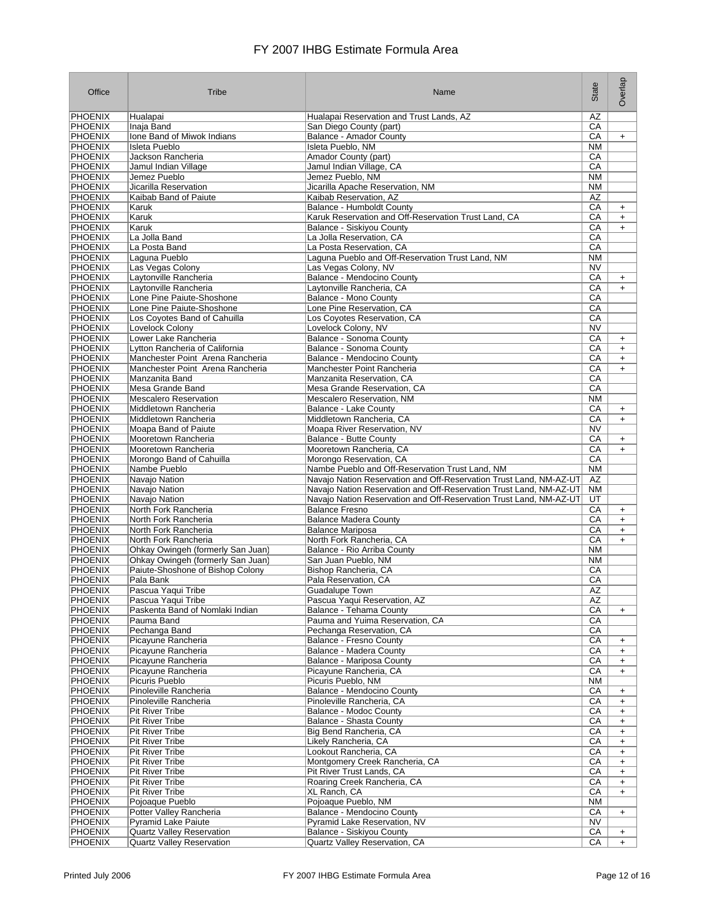| Office                           | Tribe                                                                | Name                                                                         | State                        | Overlap                |
|----------------------------------|----------------------------------------------------------------------|------------------------------------------------------------------------------|------------------------------|------------------------|
| <b>PHOENIX</b>                   | Hualapai                                                             | Hualapai Reservation and Trust Lands, AZ                                     | ΑZ                           |                        |
| <b>PHOENIX</b>                   | Inaja Band                                                           | San Diego County (part)                                                      | СA                           |                        |
| <b>PHOENIX</b>                   | Ione Band of Miwok Indians                                           | Balance - Amador County                                                      | CA                           | $+$                    |
| <b>PHOENIX</b><br><b>PHOENIX</b> | <b>Isleta Pueblo</b>                                                 | Isleta Pueblo, NM                                                            | <b>NM</b>                    |                        |
| <b>PHOENIX</b>                   | Jackson Rancheria<br>Jamul Indian Village                            | Amador County (part)<br>Jamul Indian Village, CA                             | CA<br>СA                     |                        |
| <b>PHOENIX</b>                   | Jemez Pueblo                                                         | Jemez Pueblo, NM                                                             | <b>NM</b>                    |                        |
| <b>PHOENIX</b>                   | Jicarilla Reservation                                                | Jicarilla Apache Reservation, NM                                             | <b>NM</b>                    |                        |
| <b>PHOENIX</b>                   | Kaibab Band of Paiute                                                | Kaibab Reservation, AZ                                                       | ΑZ                           |                        |
| PHOENIX                          | Karuk                                                                | Balance - Humboldt County                                                    | CA                           | $\ddot{}$              |
| <b>PHOENIX</b>                   | Karuk                                                                | Karuk Reservation and Off-Reservation Trust Land, CA                         | СA                           | $\ddot{}$              |
| <b>PHOENIX</b>                   | <b>Karuk</b>                                                         | Balance - Siskiyou County                                                    | СA                           | $+$                    |
| <b>PHOENIX</b>                   | La Jolla Band                                                        | La Jolla Reservation, CA                                                     | СA                           |                        |
| <b>PHOENIX</b><br><b>PHOENIX</b> | La Posta Band<br>Laguna Pueblo                                       | La Posta Reservation, CA<br>Laguna Pueblo and Off-Reservation Trust Land, NM | $\overline{CA}$<br><b>NM</b> |                        |
| <b>PHOENIX</b>                   | Las Vegas Colony                                                     | Las Vegas Colony, NV                                                         | <b>NV</b>                    |                        |
| <b>PHOENIX</b>                   | Laytonville Rancheria                                                | Balance - Mendocino County                                                   | CA                           | $\ddot{}$              |
| <b>PHOENIX</b>                   | Laytonville Rancheria                                                | Laytonville Rancheria, CA                                                    | СA                           | $+$                    |
| <b>PHOENIX</b>                   | Lone Pine Paiute-Shoshone                                            | Balance - Mono County                                                        | СA                           |                        |
| <b>PHOENIX</b>                   | Lone Pine Paiute-Shoshone                                            | Lone Pine Reservation, CA                                                    | CA                           |                        |
| <b>PHOENIX</b>                   | Los Coyotes Band of Cahuilla                                         | Los Coyotes Reservation, CA                                                  | СA                           |                        |
| <b>PHOENIX</b>                   | Lovelock Colony                                                      | Lovelock Colony, NV                                                          | <b>NV</b>                    |                        |
| <b>PHOENIX</b>                   | Lower Lake Rancheria                                                 | Balance - Sonoma County                                                      | СA                           | $\ddot{}$              |
| <b>PHOENIX</b>                   | Lytton Rancheria of California                                       | <b>Balance - Sonoma County</b>                                               | CA<br>СA                     | $+$                    |
| <b>PHOENIX</b><br><b>PHOENIX</b> | Manchester Point Arena Rancheria<br>Manchester Point Arena Rancheria | Balance - Mendocino County<br>Manchester Point Rancheria                     | СA                           | $\ddot{}$<br>$+$       |
| <b>PHOENIX</b>                   | Manzanita Band                                                       | Manzanita Reservation, CA                                                    | СA                           |                        |
| <b>PHOENIX</b>                   | Mesa Grande Band                                                     | Mesa Grande Reservation, CA                                                  | CA                           |                        |
| <b>PHOENIX</b>                   | <b>Mescalero Reservation</b>                                         | Mescalero Reservation, NM                                                    | <b>NM</b>                    |                        |
| <b>PHOENIX</b>                   | Middletown Rancheria                                                 | Balance - Lake County                                                        | CA                           | $\ddot{}$              |
| <b>PHOENIX</b>                   | Middletown Rancheria                                                 | Middletown Rancheria, CA                                                     | СA                           | $+$                    |
| <b>PHOENIX</b>                   | Moapa Band of Paiute                                                 | Moapa River Reservation, NV                                                  | <b>NV</b>                    |                        |
| <b>PHOENIX</b>                   | Mooretown Rancheria                                                  | Balance - Butte County                                                       | CA                           | $\ddot{}$              |
| <b>PHOENIX</b><br><b>PHOENIX</b> | Mooretown Rancheria<br>Morongo Band of Cahuilla                      | Mooretown Rancheria, CA<br>Morongo Reservation, CA                           | CA<br>CA                     | $+$                    |
| <b>PHOENIX</b>                   | Nambe Pueblo                                                         | Nambe Pueblo and Off-Reservation Trust Land, NM                              | <b>NM</b>                    |                        |
| <b>PHOENIX</b>                   | Navajo Nation                                                        | Navajo Nation Reservation and Off-Reservation Trust Land, NM-AZ-UT           | AZ                           |                        |
| <b>PHOENIX</b>                   | Navajo Nation                                                        | Navajo Nation Reservation and Off-Reservation Trust Land, NM-AZ-UT           | ΝM                           |                        |
| <b>PHOENIX</b>                   | Navajo Nation                                                        | Navajo Nation Reservation and Off-Reservation Trust Land, NM-AZ-UT           | UT                           |                        |
| <b>PHOENIX</b>                   | North Fork Rancheria                                                 | <b>Balance Fresno</b>                                                        | СA                           | $\ddot{}$              |
| <b>PHOENIX</b>                   | North Fork Rancheria                                                 | <b>Balance Madera County</b>                                                 | CA                           | $\ddot{}$              |
| <b>PHOENIX</b><br><b>PHOENIX</b> | North Fork Rancheria<br>North Fork Rancheria                         | <b>Balance Mariposa</b><br>North Fork Rancheria, CA                          | СA<br>CA                     | $\ddot{}$<br>$+$       |
| <b>PHOENIX</b>                   | Ohkay Owingeh (formerly San Juan)                                    | Balance - Rio Arriba County                                                  | <b>NM</b>                    |                        |
| <b>PHOENIX</b>                   | Ohkay Owingeh (formerly San Juan)                                    | San Juan Pueblo, NM                                                          | <b>NM</b>                    |                        |
| <b>PHOENIX</b>                   | Paiute-Shoshone of Bishop Colony                                     | Bishop Rancheria, CA                                                         | СA                           |                        |
| <b>PHOENIX</b>                   | Pala Bank                                                            | Pala Reservation, CA                                                         | СA                           |                        |
| <b>PHOENIX</b>                   | Pascua Yaqui Tribe                                                   | <b>Guadalupe Town</b>                                                        | ΑZ                           |                        |
| <b>PHOENIX</b>                   | Pascua Yaqui Tribe                                                   | Pascua Yaqui Reservation, AZ                                                 | ΑZ                           |                        |
| <b>PHOENIX</b><br><b>PHOENIX</b> | Paskenta Band of Nomlaki Indian<br>Pauma Band                        | Balance - Tehama County<br>Pauma and Yuima Reservation, CA                   | $\overline{CA}$<br>СA        | $\ddot{}$              |
| <b>PHOENIX</b>                   | Pechanga Band                                                        | Pechanga Reservation, CA                                                     | $\overline{CA}$              |                        |
| <b>PHOENIX</b>                   | Picayune Rancheria                                                   | <b>Balance - Fresno County</b>                                               | CA                           | $\ddot{}$              |
| <b>PHOENIX</b>                   | Picayune Rancheria                                                   | Balance - Madera County                                                      | $\overline{CA}$              | $\ddot{}$              |
| <b>PHOENIX</b>                   | Picayune Rancheria                                                   | <b>Balance - Mariposa County</b>                                             | CA                           | $\ddot{}$              |
| <b>PHOENIX</b>                   | Picayune Rancheria                                                   | Picayune Rancheria, CA                                                       | $\overline{CA}$              | $\ddot{}$              |
| <b>PHOENIX</b>                   | Picuris Pueblo                                                       | Picuris Pueblo, NM                                                           | <b>NM</b>                    |                        |
| <b>PHOENIX</b>                   | Pinoleville Rancheria                                                | Balance - Mendocino County                                                   | CA                           | $\ddot{}$              |
| <b>PHOENIX</b><br><b>PHOENIX</b> | Pinoleville Rancheria<br>Pit River Tribe                             | Pinoleville Rancheria, CA<br><b>Balance - Modoc County</b>                   | СA<br>CA                     | $\ddot{}$              |
| <b>PHOENIX</b>                   | Pit River Tribe                                                      | Balance - Shasta County                                                      | CA                           | $\ddot{}$<br>$\ddot{}$ |
| PHOENIX                          | <b>Pit River Tribe</b>                                               | Big Bend Rancheria, CA                                                       | CA                           | $\ddot{}$              |
| PHOENIX                          | <b>Pit River Tribe</b>                                               | Likely Rancheria, CA                                                         | CA                           | $\ddot{}$              |
| PHOENIX                          | Pit River Tribe                                                      | Lookout Rancheria, CA                                                        | CA                           | $\ddot{}$              |
| PHOENIX                          | Pit River Tribe                                                      | Montgomery Creek Rancheria, CA                                               | CA                           | $\ddot{}$              |
| <b>PHOENIX</b>                   | Pit River Tribe                                                      | Pit River Trust Lands, CA                                                    | CA                           | $\ddot{}$              |
| <b>PHOENIX</b>                   | <b>Pit River Tribe</b>                                               | Roaring Creek Rancheria, CA                                                  | СA                           | $\ddot{}$              |
| PHOENIX<br>PHOENIX               | <b>Pit River Tribe</b><br>Pojoaque Pueblo                            | XL Ranch, CA<br>Pojoaque Pueblo, NM                                          | CA                           | $\ddot{}$              |
| <b>PHOENIX</b>                   | Potter Valley Rancheria                                              | Balance - Mendocino County                                                   | NM<br>CA                     | $\ddot{}$              |
| <b>PHOENIX</b>                   | <b>Pyramid Lake Paiute</b>                                           | Pyramid Lake Reservation, NV                                                 | <b>NV</b>                    |                        |
| <b>PHOENIX</b>                   | <b>Quartz Valley Reservation</b>                                     | Balance - Siskiyou County                                                    | CA                           | $+$                    |
| <b>PHOENIX</b>                   | <b>Quartz Valley Reservation</b>                                     | Quartz Valley Reservation, CA                                                | $\overline{CA}$              | $\ddot{}$              |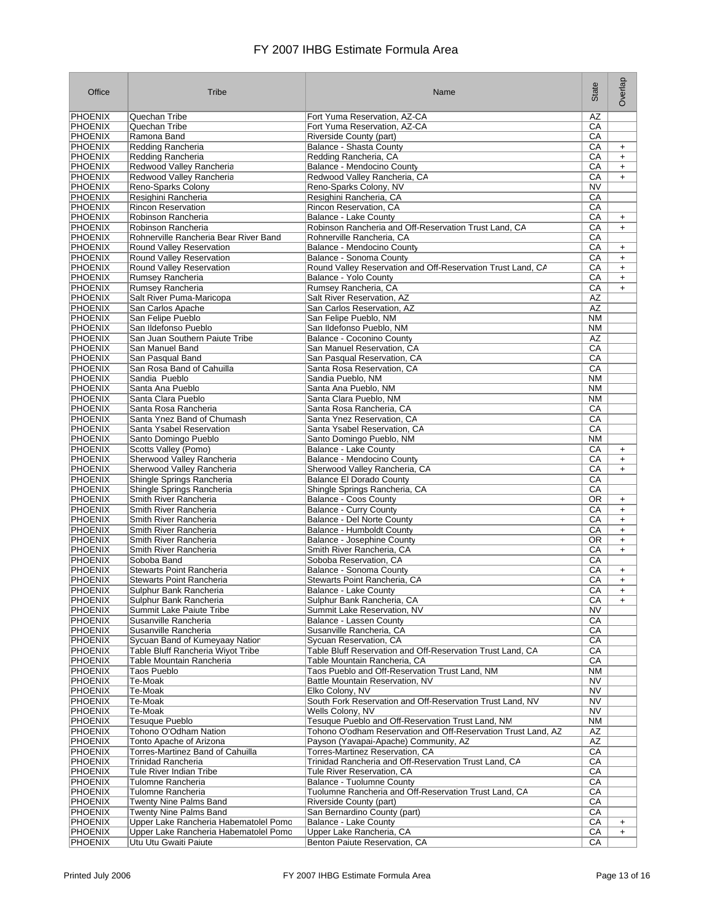| Office                           | Tribe                                                       | Name                                                                               | State                  | Overlap                |
|----------------------------------|-------------------------------------------------------------|------------------------------------------------------------------------------------|------------------------|------------------------|
| <b>PHOENIX</b>                   | Quechan Tribe                                               | Fort Yuma Reservation, AZ-CA                                                       | ΑZ                     |                        |
| <b>PHOENIX</b>                   | Quechan Tribe                                               | Fort Yuma Reservation, AZ-CA                                                       | CA                     |                        |
| <b>PHOENIX</b>                   | Ramona Band                                                 | Riverside County (part)                                                            | СA                     |                        |
| <b>PHOENIX</b><br><b>PHOENIX</b> | <b>Redding Rancheria</b><br>Redding Rancheria               | Balance - Shasta County<br>Redding Rancheria, CA                                   | СA<br>СA               | $\ddot{}$<br>$\ddot{}$ |
| <b>PHOENIX</b>                   | Redwood Valley Rancheria                                    | Balance - Mendocino County                                                         | СA                     | $\ddot{}$              |
| <b>PHOENIX</b>                   | Redwood Valley Rancheria                                    | Redwood Valley Rancheria, CA                                                       | CA                     | $+$                    |
| <b>PHOENIX</b>                   | Reno-Sparks Colony                                          | Reno-Sparks Colony, NV                                                             | NV                     |                        |
| <b>PHOENIX</b>                   | Resighini Rancheria                                         | Resighini Rancheria, CA                                                            | СA                     |                        |
| <b>PHOENIX</b>                   | <b>Rincon Reservation</b>                                   | Rincon Reservation, CA                                                             | СA                     |                        |
| <b>PHOENIX</b>                   | Robinson Rancheria                                          | Balance - Lake County                                                              | CA                     | $+$                    |
| <b>PHOENIX</b><br><b>PHOENIX</b> | Robinson Rancheria<br>Rohnerville Rancheria Bear River Band | Robinson Rancheria and Off-Reservation Trust Land, CA<br>Rohnerville Rancheria, CA | СA<br>СA               | $\ddot{}$              |
| <b>PHOENIX</b>                   | Round Valley Reservation                                    | Balance - Mendocino County                                                         | СA                     | $\ddot{}$              |
| <b>PHOENIX</b>                   | <b>Round Valley Reservation</b>                             | Balance - Sonoma County                                                            | СA                     | $\ddot{}$              |
| <b>PHOENIX</b>                   | <b>Round Valley Reservation</b>                             | Round Valley Reservation and Off-Reservation Trust Land, CA                        | СA                     | $\ddot{}$              |
| PHOENIX                          | Rumsey Rancheria                                            | Balance - Yolo County                                                              | СA                     | $\ddot{}$              |
| <b>PHOENIX</b>                   | Rumsey Rancheria                                            | Rumsey Rancheria, CA                                                               | CA                     | $\ddot{}$              |
| <b>PHOENIX</b><br><b>PHOENIX</b> | Salt River Puma-Maricopa                                    | Salt River Reservation, AZ                                                         | AZ<br>AZ               |                        |
| <b>PHOENIX</b>                   | San Carlos Apache<br>San Felipe Pueblo                      | San Carlos Reservation, AZ<br>San Felipe Pueblo, NM                                | <b>NM</b>              |                        |
| <b>PHOENIX</b>                   | San Ildefonso Pueblo                                        | San Ildefonso Pueblo, NM                                                           | <b>NM</b>              |                        |
| <b>PHOENIX</b>                   | San Juan Southern Paiute Tribe                              | Balance - Coconino County                                                          | <b>AZ</b>              |                        |
| <b>PHOENIX</b>                   | San Manuel Band                                             | San Manuel Reservation, CA                                                         | CA                     |                        |
| <b>PHOENIX</b>                   | San Pasqual Band                                            | San Pasqual Reservation, CA                                                        | CA                     |                        |
| <b>PHOENIX</b>                   | San Rosa Band of Cahuilla                                   | Santa Rosa Reservation, CA                                                         | CA                     |                        |
| <b>PHOENIX</b>                   | Sandia Pueblo                                               | Sandia Pueblo, NM                                                                  | <b>NM</b>              |                        |
| <b>PHOENIX</b><br><b>PHOENIX</b> | Santa Ana Pueblo<br>Santa Clara Pueblo                      | Santa Ana Pueblo, NM<br>Santa Clara Pueblo, NM                                     | <b>NM</b><br><b>NM</b> |                        |
| <b>PHOENIX</b>                   | Santa Rosa Rancheria                                        | Santa Rosa Rancheria, CA                                                           | CA                     |                        |
| <b>PHOENIX</b>                   | Santa Ynez Band of Chumash                                  | Santa Ynez Reservation, CA                                                         | CA                     |                        |
| <b>PHOENIX</b>                   | Santa Ysabel Reservation                                    | Santa Ysabel Reservation, CA                                                       | CA                     |                        |
| <b>PHOENIX</b>                   | Santo Domingo Pueblo                                        | Santo Domingo Pueblo, NM                                                           | ΝM                     |                        |
| <b>PHOENIX</b>                   | Scotts Valley (Pomo)                                        | Balance - Lake County                                                              | СA                     | $\ddot{}$              |
| <b>PHOENIX</b>                   | Sherwood Valley Rancheria                                   | Balance - Mendocino County                                                         | CA                     | $\ddot{}$              |
| <b>PHOENIX</b><br><b>PHOENIX</b> | Sherwood Valley Rancheria<br>Shingle Springs Rancheria      | Sherwood Valley Rancheria, CA<br><b>Balance El Dorado County</b>                   | СA<br>СA               | $\ddot{}$              |
| <b>PHOENIX</b>                   | Shingle Springs Rancheria                                   | Shingle Springs Rancheria, CA                                                      | СA                     |                        |
| <b>PHOENIX</b>                   | Smith River Rancheria                                       | Balance - Coos County                                                              | OR                     | $\ddot{}$              |
| <b>PHOENIX</b>                   | Smith River Rancheria                                       | Balance - Curry County                                                             | СA                     | $\ddot{}$              |
| <b>PHOENIX</b>                   | Smith River Rancheria                                       | Balance - Del Norte County                                                         | СA                     | $\ddot{}$              |
| PHOENIX                          | Smith River Rancheria                                       | Balance - Humboldt County                                                          | СA                     | $\ddot{}$              |
| <b>PHOENIX</b>                   | Smith River Rancheria                                       | Balance - Josephine County                                                         | OR                     | $\ddot{}$              |
| <b>PHOENIX</b><br><b>PHOENIX</b> | Smith River Rancheria<br>Soboba Band                        | Smith River Rancheria, CA<br>Soboba Reservation, CA                                | СA<br>СA               | $+$                    |
| <b>PHOENIX</b>                   | <b>Stewarts Point Rancheria</b>                             | Balance - Sonoma County                                                            | СA                     | $\ddot{}$              |
| <b>PHOENIX</b>                   | <b>Stewarts Point Rancheria</b>                             | Stewarts Point Rancheria, CA                                                       | СA                     | $\ddot{}$              |
| <b>PHOENIX</b>                   | Sulphur Bank Rancheria                                      | Balance - Lake County                                                              | СA                     | $\ddot{}$              |
| <b>PHOENIX</b>                   | Sulphur Bank Rancheria                                      | Sulphur Bank Rancheria, CA                                                         | СA                     | $\ddot{}$              |
| <b>PHOENIX</b>                   | Summit Lake Paiute Tribe                                    | Summit Lake Reservation, NV                                                        | <b>NV</b>              |                        |
| <b>PHOENIX</b><br><b>PHOENIX</b> | Susanville Rancheria<br>Susanville Rancheria                | Balance - Lassen County<br>Susanville Rancheria, CA                                | СA<br>СA               |                        |
| <b>PHOENIX</b>                   | Sycuan Band of Kumeyaay Natior                              | Sycuan Reservation, CA                                                             | СA                     |                        |
| <b>PHOENIX</b>                   | Table Bluff Rancheria Wiyot Tribe                           | Table Bluff Reservation and Off-Reservation Trust Land, CA                         | СA                     |                        |
| <b>PHOENIX</b>                   | Table Mountain Rancheria                                    | Table Mountain Rancheria, CA                                                       | CA                     |                        |
| <b>PHOENIX</b>                   | Taos Pueblo                                                 | Taos Pueblo and Off-Reservation Trust Land, NM                                     | ΝM                     |                        |
| <b>PHOENIX</b>                   | Te-Moak                                                     | Battle Mountain Reservation, NV                                                    | <b>NV</b>              |                        |
| <b>PHOENIX</b>                   | Te-Moak                                                     | Elko Colony, NV                                                                    | NV                     |                        |
| <b>PHOENIX</b><br>PHOENIX        | Te-Moak<br>Te-Moak                                          | South Fork Reservation and Off-Reservation Trust Land, NV<br>Wells Colony, NV      | NV<br><b>NV</b>        |                        |
| PHOENIX                          | Tesuque Pueblo                                              | Tesuque Pueblo and Off-Reservation Trust Land, NM                                  | ΝM                     |                        |
| <b>PHOENIX</b>                   | Tohono O'Odham Nation                                       | Tohono O'odham Reservation and Off-Reservation Trust Land, AZ                      | AZ                     |                        |
| PHOENIX                          | Tonto Apache of Arizona                                     | Payson (Yavapai-Apache) Community, AZ                                              | AZ                     |                        |
| <b>PHOENIX</b>                   | Torres-Martinez Band of Cahuilla                            | Torres-Martinez Reservation, CA                                                    | CA                     |                        |
| PHOENIX                          | Trinidad Rancheria                                          | Trinidad Rancheria and Off-Reservation Trust Land, CA                              | СA                     |                        |
| <b>PHOENIX</b>                   | Tule River Indian Tribe                                     | Tule River Reservation, CA                                                         | СA                     |                        |
| PHOENIX<br>PHOENIX               | Tulomne Rancheria<br>Tulomne Rancheria                      | Balance - Tuolumne County<br>Tuolumne Rancheria and Off-Reservation Trust Land, CA | СA<br>CA               |                        |
| PHOENIX                          | Twenty Nine Palms Band                                      | Riverside County (part)                                                            | СA                     |                        |
| <b>PHOENIX</b>                   | Twenty Nine Palms Band                                      | San Bernardino County (part)                                                       | CA                     |                        |
| <b>PHOENIX</b>                   | Upper Lake Rancheria Habematolel Pomo                       | Balance - Lake County                                                              | СA                     | $\ddot{}$              |
| <b>PHOENIX</b>                   | Upper Lake Rancheria Habematolel Pomo                       | Upper Lake Rancheria, CA                                                           | СA                     | $\ddot{}$              |
| <b>PHOENIX</b>                   | Utu Utu Gwaiti Paiute                                       | Benton Paiute Reservation, CA                                                      | СA                     |                        |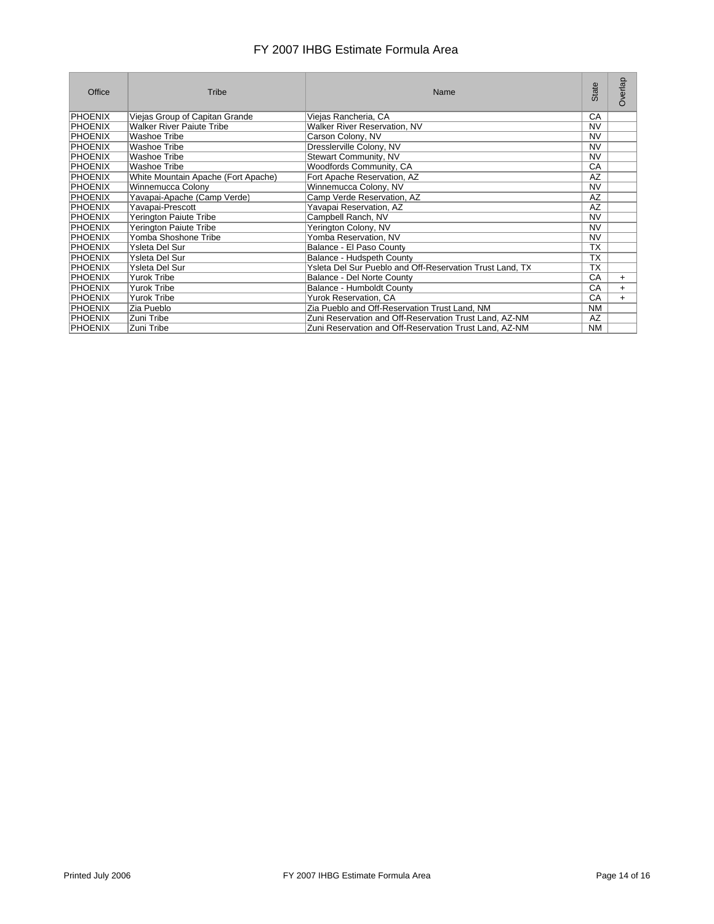| Office         | Tribe                               | Name                                                     | State     | Overlap   |
|----------------|-------------------------------------|----------------------------------------------------------|-----------|-----------|
| <b>PHOENIX</b> | Viejas Group of Capitan Grande      | Viejas Rancheria, CA                                     | СA        |           |
| <b>PHOENIX</b> | <b>Walker River Paiute Tribe</b>    | Walker River Reservation, NV                             | <b>NV</b> |           |
| <b>PHOENIX</b> | Washoe Tribe                        | Carson Colony, NV                                        | <b>NV</b> |           |
| <b>PHOENIX</b> | Washoe Tribe                        | Dresslerville Colony, NV                                 | <b>NV</b> |           |
| PHOENIX        | Washoe Tribe                        | Stewart Community, NV                                    | NV        |           |
| <b>PHOENIX</b> | Washoe Tribe                        | Woodfords Community, CA                                  | CA        |           |
| PHOENIX        | White Mountain Apache (Fort Apache) | Fort Apache Reservation, AZ                              | AZ        |           |
| <b>PHOENIX</b> | Winnemucca Colony                   | Winnemucca Colony, NV                                    | <b>NV</b> |           |
| <b>PHOENIX</b> | Yavapai-Apache (Camp Verde)         | Camp Verde Reservation, AZ                               | AZ        |           |
| <b>PHOENIX</b> | Yavapai-Prescott                    | Yavapai Reservation, AZ                                  | AZ        |           |
| <b>PHOENIX</b> | Yerington Paiute Tribe              | Campbell Ranch, NV                                       | NV        |           |
| <b>PHOENIX</b> | Yerington Paiute Tribe              | Yerington Colony, NV                                     | NV        |           |
| <b>PHOENIX</b> | Yomba Shoshone Tribe                | Yomba Reservation, NV                                    | NV        |           |
| <b>PHOENIX</b> | Ysleta Del Sur                      | Balance - El Paso County                                 | <b>TX</b> |           |
| <b>PHOENIX</b> | Ysleta Del Sur                      | Balance - Hudspeth County                                | <b>TX</b> |           |
| <b>PHOENIX</b> | Ysleta Del Sur                      | Ysleta Del Sur Pueblo and Off-Reservation Trust Land, TX | <b>TX</b> |           |
| <b>PHOENIX</b> | Yurok Tribe                         | Balance - Del Norte County                               | CA        | $\ddot{}$ |
| <b>PHOENIX</b> | <b>Yurok Tribe</b>                  | Balance - Humboldt County                                | CA        | $\ddot{}$ |
| <b>PHOENIX</b> | <b>Yurok Tribe</b>                  | Yurok Reservation, CA                                    | CA        | $\ddot{}$ |
| PHOENIX        | Zia Pueblo                          | Zia Pueblo and Off-Reservation Trust Land, NM            | <b>NM</b> |           |
| <b>PHOENIX</b> | Zuni Tribe                          | Zuni Reservation and Off-Reservation Trust Land, AZ-NM   | AZ        |           |
| <b>PHOENIX</b> | Zuni Tribe                          | Zuni Reservation and Off-Reservation Trust Land, AZ-NM   | NM        |           |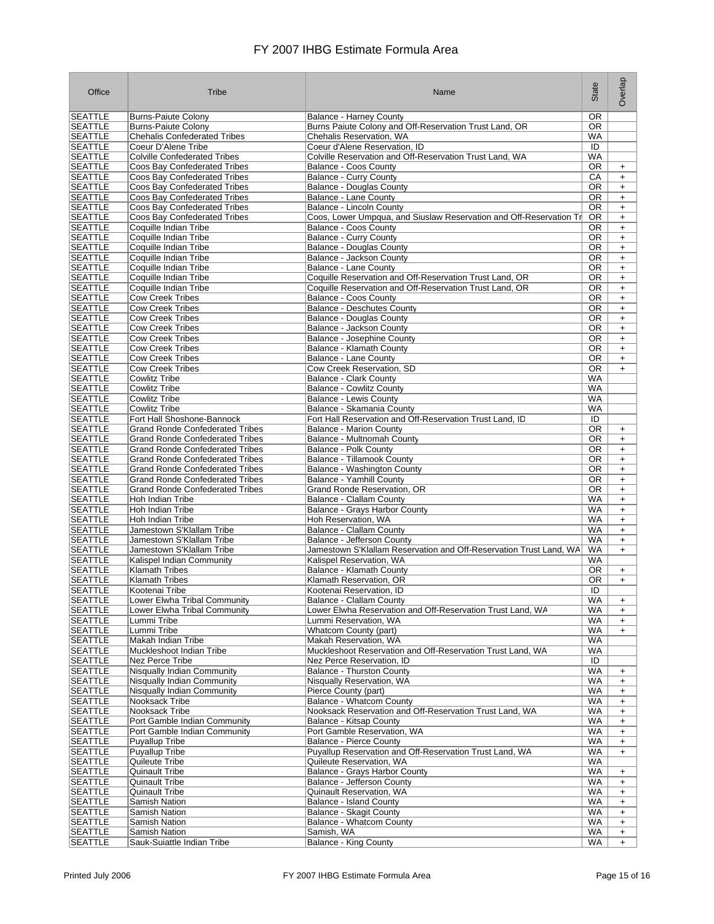| Office         | Tribe                                  | Name                                                               | State     | Overlap   |
|----------------|----------------------------------------|--------------------------------------------------------------------|-----------|-----------|
| <b>SEATTLE</b> | <b>Burns-Paiute Colony</b>             | <b>Balance - Harney County</b>                                     | <b>OR</b> |           |
| <b>SEATTLE</b> | <b>Burns-Paiute Colony</b>             | Burns Paiute Colony and Off-Reservation Trust Land, OR             | OR.       |           |
| <b>SEATTLE</b> | <b>Chehalis Confederated Tribes</b>    | Chehalis Reservation, WA                                           | WA        |           |
| <b>SEATTLE</b> | Coeur D'Alene Tribe                    | Coeur d'Alene Reservation, ID                                      | ID        |           |
| <b>SEATTLE</b> | <b>Colville Confederated Tribes</b>    | Colville Reservation and Off-Reservation Trust Land, WA            | <b>WA</b> |           |
| <b>SEATTLE</b> | Coos Bay Confederated Tribes           | Balance - Coos County                                              | OR.       | $\ddot{}$ |
|                |                                        |                                                                    |           |           |
| <b>SEATTLE</b> | Coos Bay Confederated Tribes           | <b>Balance - Curry County</b>                                      | CA        | $\ddot{}$ |
| <b>SEATTLE</b> | Coos Bay Confederated Tribes           | <b>Balance - Douglas County</b>                                    | OR.       | $\ddot{}$ |
| <b>SEATTLE</b> | Coos Bay Confederated Tribes           | Balance - Lane County                                              | OR        | $\ddot{}$ |
| <b>SEATTLE</b> | Coos Bay Confederated Tribes           | Balance - Lincoln County                                           | OR.       | $\ddot{}$ |
| <b>SEATTLE</b> | Coos Bay Confederated Tribes           | Coos, Lower Umpqua, and Siuslaw Reservation and Off-Reservation Tr | <b>OR</b> | $\ddot{}$ |
| <b>SEATTLE</b> | Coquille Indian Tribe                  | Balance - Coos County                                              | OR.       | $\ddot{}$ |
| <b>SEATTLE</b> | Coquille Indian Tribe                  | <b>Balance - Curry County</b>                                      | OR.       | $\ddot{}$ |
| <b>SEATTLE</b> | Coquille Indian Tribe                  | Balance - Douglas County                                           | <b>OR</b> | $\ddot{}$ |
| <b>SEATTLE</b> | Coquille Indian Tribe                  | Balance - Jackson County                                           | OR.       | $\ddot{}$ |
| <b>SEATTLE</b> | Coquille Indian Tribe                  | Balance - Lane County                                              | OR.       | $+$       |
| <b>SEATTLE</b> | Coquille Indian Tribe                  | Coquille Reservation and Off-Reservation Trust Land, OR            | OR.       | $\ddot{}$ |
| <b>SEATTLE</b> | Coquille Indian Tribe                  | Coquille Reservation and Off-Reservation Trust Land, OR            | OR        | $\ddot{}$ |
| <b>SEATTLE</b> | <b>Cow Creek Tribes</b>                | <b>Balance - Coos County</b>                                       | OR        | $\ddot{}$ |
| <b>SEATTLE</b> | <b>Cow Creek Tribes</b>                | <b>Balance - Deschutes County</b>                                  | OR.       | $\ddot{}$ |
| <b>SEATTLE</b> | <b>Cow Creek Tribes</b>                |                                                                    | OR        |           |
|                |                                        | <b>Balance - Douglas County</b>                                    | OR        | $\ddot{}$ |
| <b>SEATTLE</b> | <b>Cow Creek Tribes</b>                | Balance - Jackson County                                           |           | $\ddot{}$ |
| <b>SEATTLE</b> | <b>Cow Creek Tribes</b>                | Balance - Josephine County                                         | OR        | $+$       |
| <b>SEATTLE</b> | <b>Cow Creek Tribes</b>                | <b>Balance - Klamath County</b>                                    | OR.       | $\ddot{}$ |
| <b>SEATTLE</b> | <b>Cow Creek Tribes</b>                | Balance - Lane County                                              | OR        | $+$       |
| <b>SEATTLE</b> | <b>Cow Creek Tribes</b>                | Cow Creek Reservation, SD                                          | OR.       | $\ddot{}$ |
| <b>SEATTLE</b> | <b>Cowlitz Tribe</b>                   | <b>Balance - Clark County</b>                                      | WA        |           |
| <b>SEATTLE</b> | <b>Cowlitz Tribe</b>                   | <b>Balance - Cowlitz County</b>                                    | <b>WA</b> |           |
| <b>SEATTLE</b> | <b>Cowlitz Tribe</b>                   | <b>Balance - Lewis County</b>                                      | WA        |           |
| <b>SEATTLE</b> | <b>Cowlitz Tribe</b>                   | Balance - Skamania County                                          | <b>WA</b> |           |
| <b>SEATTLE</b> | Fort Hall Shoshone-Bannock             | Fort Hall Reservation and Off-Reservation Trust Land, ID           | ID        |           |
| <b>SEATTLE</b> | <b>Grand Ronde Confederated Tribes</b> | <b>Balance - Marion County</b>                                     | <b>OR</b> | $\ddot{}$ |
| <b>SEATTLE</b> | <b>Grand Ronde Confederated Tribes</b> | Balance - Multnomah County                                         | OR.       | $\ddot{}$ |
| <b>SEATTLE</b> | <b>Grand Ronde Confederated Tribes</b> | Balance - Polk County                                              | OR        | $+$       |
| <b>SEATTLE</b> | <b>Grand Ronde Confederated Tribes</b> | Balance - Tillamook County                                         | OR        | $\ddot{}$ |
| <b>SEATTLE</b> | <b>Grand Ronde Confederated Tribes</b> | Balance - Washington County                                        | OR.       | $\ddot{}$ |
| <b>SEATTLE</b> | <b>Grand Ronde Confederated Tribes</b> | Balance - Yamhill County                                           | OR.       | $\ddot{}$ |
|                |                                        |                                                                    | OR.       |           |
| <b>SEATTLE</b> | <b>Grand Ronde Confederated Tribes</b> | Grand Ronde Reservation, OR                                        |           | $\ddot{}$ |
| <b>SEATTLE</b> | Hoh Indian Tribe                       | Balance - Clallam County                                           | WA        | $\ddot{}$ |
| <b>SEATTLE</b> | Hoh Indian Tribe                       | Balance - Grays Harbor County                                      | WA        | $\ddot{}$ |
| <b>SEATTLE</b> | Hoh Indian Tribe                       | Hoh Reservation, WA                                                | <b>WA</b> | $+$       |
| <b>SEATTLE</b> | Jamestown S'Klallam Tribe              | Balance - Clallam County                                           | WA        | $\ddot{}$ |
| <b>SEATTLE</b> | Jamestown S'Klallam Tribe              | Balance - Jefferson County                                         | <b>WA</b> | $\ddot{}$ |
| <b>SEATTLE</b> | Jamestown S'Klallam Tribe              | Jamestown S'Klallam Reservation and Off-Reservation Trust Land, WA | <b>WA</b> | $\ddot{}$ |
| <b>SEATTLE</b> | Kalispel Indian Community              | Kalispel Reservation, WA                                           | <b>WA</b> |           |
| <b>SEATTLE</b> | <b>Klamath Tribes</b>                  | Balance - Klamath County                                           | OR.       | $\ddot{}$ |
| <b>SEATTLE</b> | <b>Klamath Tribes</b>                  | Klamath Reservation, OR                                            | <b>OR</b> | $\ddot{}$ |
| <b>SEATTLE</b> | Kootenai Tribe                         | Kootenai Reservation, ID                                           | ID        |           |
| SEATTLE        | Lower Elwha Tribal Community           | Balance - Clallam County                                           | WA.       | +         |
| <b>SEATTLE</b> | Lower Elwha Tribal Community           | Lower Elwha Reservation and Off-Reservation Trust Land, WA         | WA        | $\ddot{}$ |
| <b>SEATTLE</b> | Lummi Tribe                            | Lummi Reservation, WA                                              | WA        | $\ddot{}$ |
| <b>SEATTLE</b> | Lummi Tribe                            | Whatcom County (part)                                              | WA        | $\ddot{}$ |
| <b>SEATTLE</b> | Makah Indian Tribe                     | Makah Reservation, WA                                              | <b>WA</b> |           |
| <b>SEATTLE</b> | Muckleshoot Indian Tribe               | Muckleshoot Reservation and Off-Reservation Trust Land, WA         | WA        |           |
| <b>SEATTLE</b> | Nez Perce Tribe                        | Nez Perce Reservation, ID                                          | ID        |           |
|                |                                        | <b>Balance - Thurston County</b>                                   | <b>WA</b> |           |
| <b>SEATTLE</b> | Nisqually Indian Community             |                                                                    |           | $\ddot{}$ |
| <b>SEATTLE</b> | Nisqually Indian Community             | Nisqually Reservation, WA                                          | WA        | $\ddot{}$ |
| <b>SEATTLE</b> | Nisqually Indian Community             | Pierce County (part)                                               | WA        | $\ddot{}$ |
| <b>SEATTLE</b> | Nooksack Tribe                         | Balance - Whatcom County                                           | WA        | $\ddot{}$ |
| <b>SEATTLE</b> | Nooksack Tribe                         | Nooksack Reservation and Off-Reservation Trust Land, WA            | WA        | $\ddot{}$ |
| <b>SEATTLE</b> | Port Gamble Indian Community           | Balance - Kitsap County                                            | WA        | $\ddot{}$ |
| <b>SEATTLE</b> | Port Gamble Indian Community           | Port Gamble Reservation, WA                                        | WA        | $\ddot{}$ |
| <b>SEATTLE</b> | <b>Puyallup Tribe</b>                  | <b>Balance - Pierce County</b>                                     | WA        | $\ddot{}$ |
| <b>SEATTLE</b> | <b>Puyallup Tribe</b>                  | Puyallup Reservation and Off-Reservation Trust Land, WA            | WA        | $\ddot{}$ |
| <b>SEATTLE</b> | Quileute Tribe                         | Quileute Reservation, WA                                           | WA        |           |
| <b>SEATTLE</b> | <b>Quinault Tribe</b>                  | Balance - Grays Harbor County                                      | WA        | $\ddot{}$ |
| <b>SEATTLE</b> | <b>Quinault Tribe</b>                  | Balance - Jefferson County                                         | WA        | $\ddot{}$ |
| <b>SEATTLE</b> | <b>Quinault Tribe</b>                  | Quinault Reservation, WA                                           | WA        | $\ddot{}$ |
| <b>SEATTLE</b> | Samish Nation                          | Balance - Island County                                            | WA        | $\ddot{}$ |
| <b>SEATTLE</b> | Samish Nation                          | Balance - Skagit County                                            | WA        |           |
|                |                                        |                                                                    |           | $\ddot{}$ |
| <b>SEATTLE</b> | Samish Nation                          | Balance - Whatcom County                                           | WA        | $\ddot{}$ |
| <b>SEATTLE</b> | <b>Samish Nation</b>                   | Samish, WA                                                         | WA        | $\ddot{}$ |
| <b>SEATTLE</b> | Sauk-Suiattle Indian Tribe             | <b>Balance - King County</b>                                       | <b>WA</b> | $\ddot{}$ |